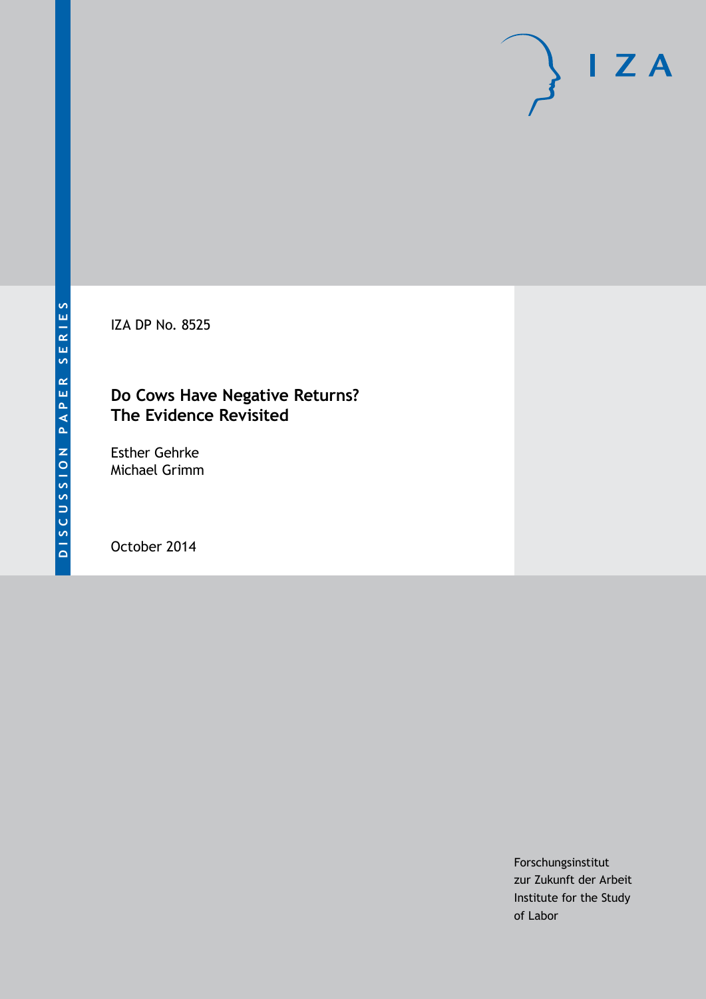IZA DP No. 8525

### **Do Cows Have Negative Returns? The Evidence Revisited**

Esther Gehrke Michael Grimm

October 2014

Forschungsinstitut zur Zukunft der Arbeit Institute for the Study of Labor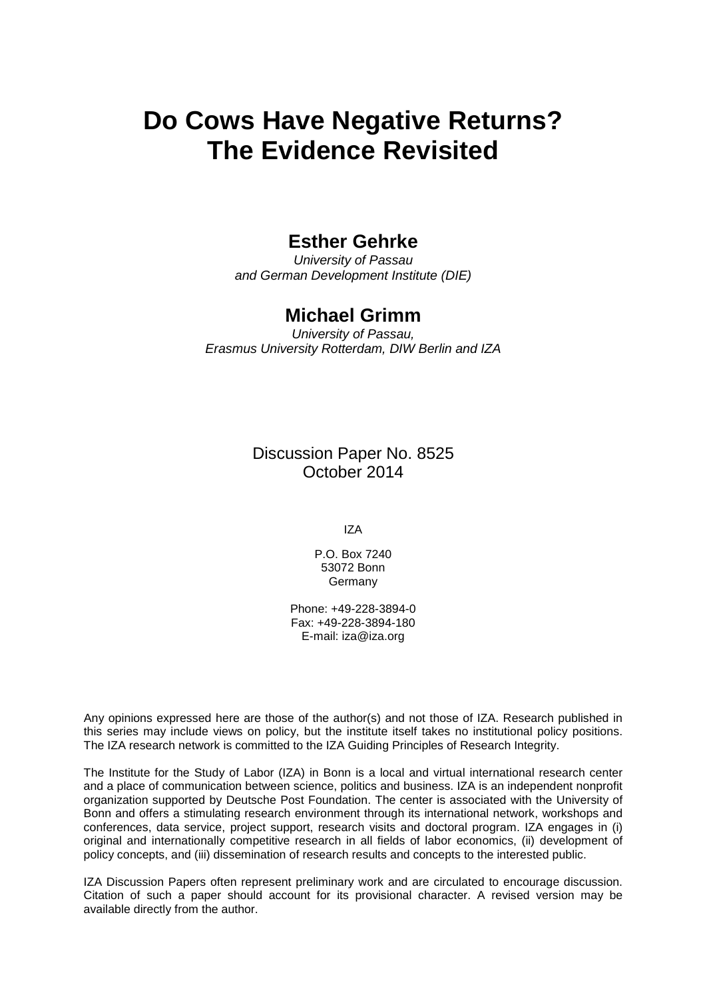# **Do Cows Have Negative Returns? The Evidence Revisited**

### **Esther Gehrke**

*University of Passau and German Development Institute (DIE)*

### **Michael Grimm**

*University of Passau, Erasmus University Rotterdam, DIW Berlin and IZA*

> Discussion Paper No. 8525 October 2014

> > IZA

P.O. Box 7240 53072 Bonn Germany

Phone: +49-228-3894-0 Fax: +49-228-3894-180 E-mail: [iza@iza.org](mailto:iza@iza.org)

Any opinions expressed here are those of the author(s) and not those of IZA. Research published in this series may include views on policy, but the institute itself takes no institutional policy positions. The IZA research network is committed to the IZA Guiding Principles of Research Integrity.

<span id="page-1-0"></span>The Institute for the Study of Labor (IZA) in Bonn is a local and virtual international research center and a place of communication between science, politics and business. IZA is an independent nonprofit organization supported by Deutsche Post Foundation. The center is associated with the University of Bonn and offers a stimulating research environment through its international network, workshops and conferences, data service, project support, research visits and doctoral program. IZA engages in (i) original and internationally competitive research in all fields of labor economics, (ii) development of policy concepts, and (iii) dissemination of research results and concepts to the interested public.

IZA Discussion Papers often represent preliminary work and are circulated to encourage discussion. Citation of such a paper should account for its provisional character. A revised version may be available directly from the author.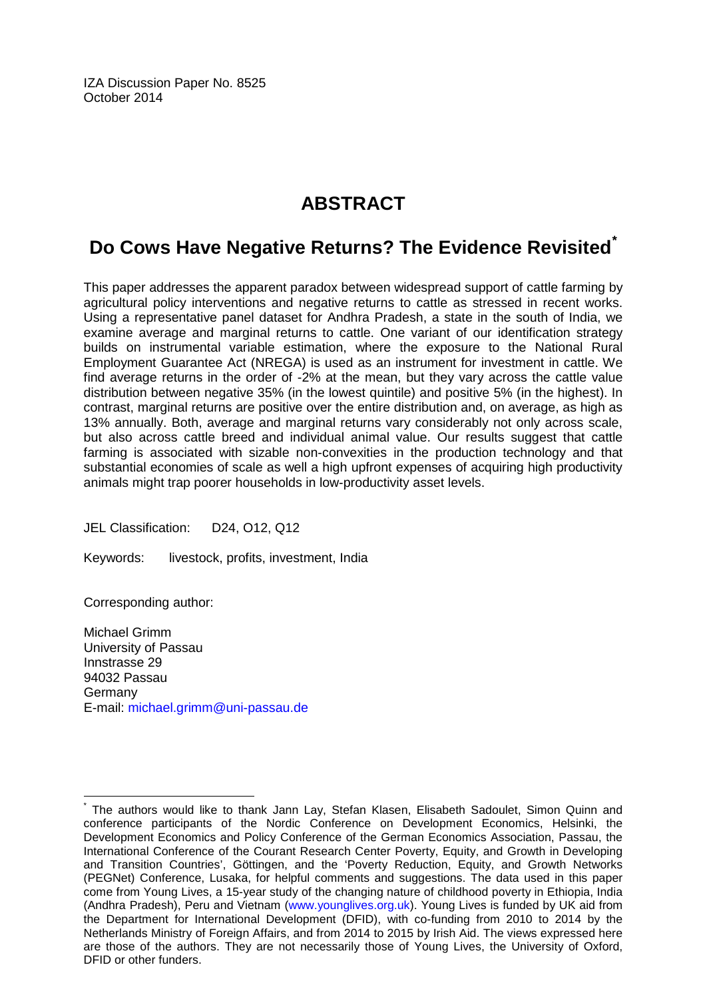IZA Discussion Paper No. 8525 October 2014

## **ABSTRACT**

## **Do Cows Have Negative Returns? The Evidence Revisited[\\*](#page-1-0)**

This paper addresses the apparent paradox between widespread support of cattle farming by agricultural policy interventions and negative returns to cattle as stressed in recent works. Using a representative panel dataset for Andhra Pradesh, a state in the south of India, we examine average and marginal returns to cattle. One variant of our identification strategy builds on instrumental variable estimation, where the exposure to the National Rural Employment Guarantee Act (NREGA) is used as an instrument for investment in cattle. We find average returns in the order of -2% at the mean, but they vary across the cattle value distribution between negative 35% (in the lowest quintile) and positive 5% (in the highest). In contrast, marginal returns are positive over the entire distribution and, on average, as high as 13% annually. Both, average and marginal returns vary considerably not only across scale, but also across cattle breed and individual animal value. Our results suggest that cattle farming is associated with sizable non-convexities in the production technology and that substantial economies of scale as well a high upfront expenses of acquiring high productivity animals might trap poorer households in low-productivity asset levels.

JEL Classification: D24, O12, Q12

Keywords: livestock, profits, investment, India

Corresponding author:

Michael Grimm University of Passau Innstrasse 29 94032 Passau **Germany** E-mail: [michael.grimm@uni-passau.de](mailto:michael.grimm@uni-passau.de)

The authors would like to thank Jann Lay, Stefan Klasen, Elisabeth Sadoulet, Simon Quinn and conference participants of the Nordic Conference on Development Economics, Helsinki, the Development Economics and Policy Conference of the German Economics Association, Passau, the International Conference of the Courant Research Center Poverty, Equity, and Growth in Developing and Transition Countries', Göttingen, and the 'Poverty Reduction, Equity, and Growth Networks (PEGNet) Conference, Lusaka, for helpful comments and suggestions. The data used in this paper come from Young Lives, a 15-year study of the changing nature of childhood poverty in Ethiopia, India (Andhra Pradesh), Peru and Vietnam [\(www.younglives.org.uk\)](http://www.younglives.org.uk/). Young Lives is funded by UK aid from the Department for International Development (DFID), with co-funding from 2010 to 2014 by the Netherlands Ministry of Foreign Affairs, and from 2014 to 2015 by Irish Aid. The views expressed here are those of the authors. They are not necessarily those of Young Lives, the University of Oxford, DFID or other funders.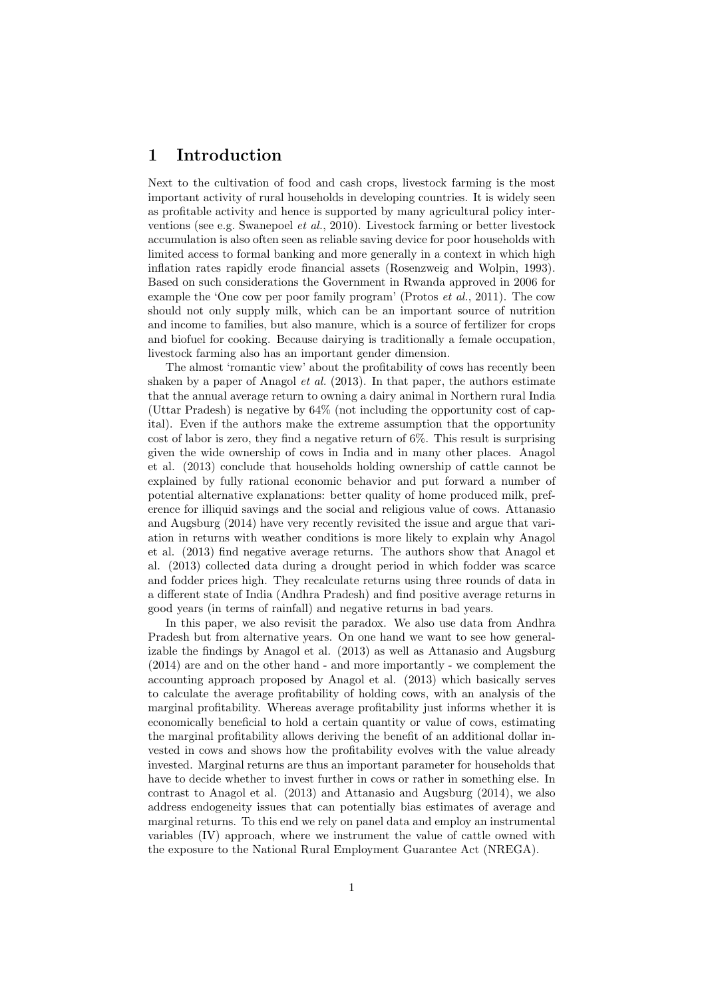#### 1 Introduction

Next to the cultivation of food and cash crops, livestock farming is the most important activity of rural households in developing countries. It is widely seen as profitable activity and hence is supported by many agricultural policy interventions (see e.g. Swanepoel et al., 2010). Livestock farming or better livestock accumulation is also often seen as reliable saving device for poor households with limited access to formal banking and more generally in a context in which high inflation rates rapidly erode financial assets (Rosenzweig and Wolpin, 1993). Based on such considerations the Government in Rwanda approved in 2006 for example the 'One cow per poor family program' (Protos  $et al., 2011$ ). The cow should not only supply milk, which can be an important source of nutrition and income to families, but also manure, which is a source of fertilizer for crops and biofuel for cooking. Because dairying is traditionally a female occupation, livestock farming also has an important gender dimension.

The almost 'romantic view' about the profitability of cows has recently been shaken by a paper of Anagol et al. (2013). In that paper, the authors estimate that the annual average return to owning a dairy animal in Northern rural India (Uttar Pradesh) is negative by 64% (not including the opportunity cost of capital). Even if the authors make the extreme assumption that the opportunity cost of labor is zero, they find a negative return of 6%. This result is surprising given the wide ownership of cows in India and in many other places. Anagol et al. (2013) conclude that households holding ownership of cattle cannot be explained by fully rational economic behavior and put forward a number of potential alternative explanations: better quality of home produced milk, preference for illiquid savings and the social and religious value of cows. Attanasio and Augsburg (2014) have very recently revisited the issue and argue that variation in returns with weather conditions is more likely to explain why Anagol et al. (2013) find negative average returns. The authors show that Anagol et al. (2013) collected data during a drought period in which fodder was scarce and fodder prices high. They recalculate returns using three rounds of data in a different state of India (Andhra Pradesh) and find positive average returns in good years (in terms of rainfall) and negative returns in bad years.

In this paper, we also revisit the paradox. We also use data from Andhra Pradesh but from alternative years. On one hand we want to see how generalizable the findings by Anagol et al. (2013) as well as Attanasio and Augsburg (2014) are and on the other hand - and more importantly - we complement the accounting approach proposed by Anagol et al. (2013) which basically serves to calculate the average profitability of holding cows, with an analysis of the marginal profitability. Whereas average profitability just informs whether it is economically beneficial to hold a certain quantity or value of cows, estimating the marginal profitability allows deriving the benefit of an additional dollar invested in cows and shows how the profitability evolves with the value already invested. Marginal returns are thus an important parameter for households that have to decide whether to invest further in cows or rather in something else. In contrast to Anagol et al. (2013) and Attanasio and Augsburg (2014), we also address endogeneity issues that can potentially bias estimates of average and marginal returns. To this end we rely on panel data and employ an instrumental variables (IV) approach, where we instrument the value of cattle owned with the exposure to the National Rural Employment Guarantee Act (NREGA).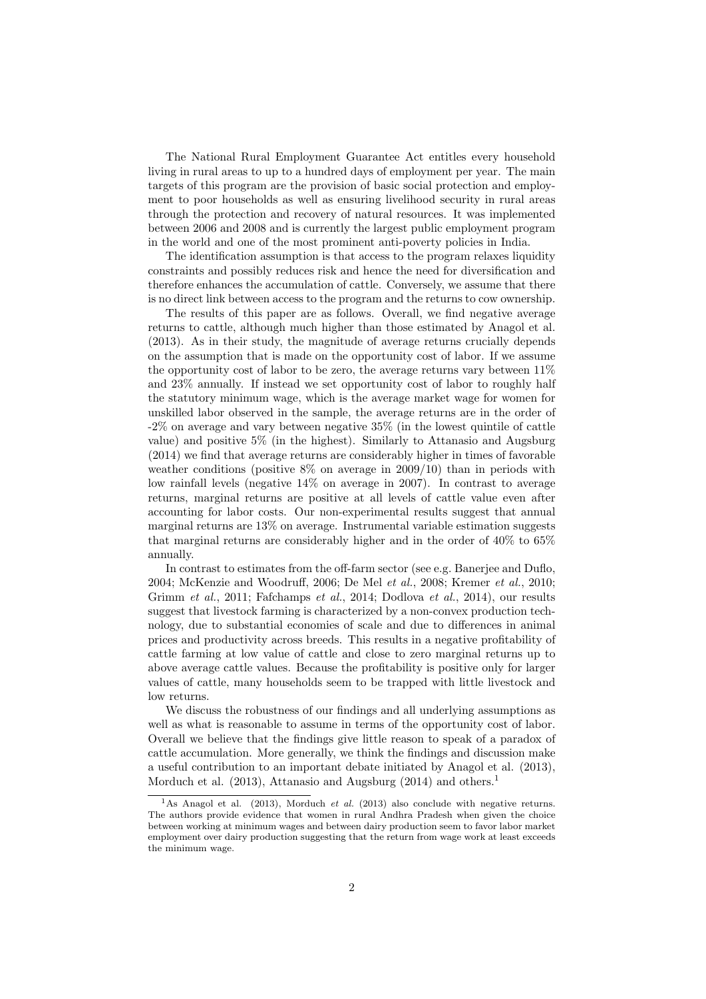The National Rural Employment Guarantee Act entitles every household living in rural areas to up to a hundred days of employment per year. The main targets of this program are the provision of basic social protection and employment to poor households as well as ensuring livelihood security in rural areas through the protection and recovery of natural resources. It was implemented between 2006 and 2008 and is currently the largest public employment program in the world and one of the most prominent anti-poverty policies in India.

The identification assumption is that access to the program relaxes liquidity constraints and possibly reduces risk and hence the need for diversification and therefore enhances the accumulation of cattle. Conversely, we assume that there is no direct link between access to the program and the returns to cow ownership.

The results of this paper are as follows. Overall, we find negative average returns to cattle, although much higher than those estimated by Anagol et al. (2013). As in their study, the magnitude of average returns crucially depends on the assumption that is made on the opportunity cost of labor. If we assume the opportunity cost of labor to be zero, the average returns vary between  $11\%$ and 23% annually. If instead we set opportunity cost of labor to roughly half the statutory minimum wage, which is the average market wage for women for unskilled labor observed in the sample, the average returns are in the order of -2% on average and vary between negative 35% (in the lowest quintile of cattle value) and positive 5% (in the highest). Similarly to Attanasio and Augsburg (2014) we find that average returns are considerably higher in times of favorable weather conditions (positive  $8\%$  on average in 2009/10) than in periods with low rainfall levels (negative 14% on average in 2007). In contrast to average returns, marginal returns are positive at all levels of cattle value even after accounting for labor costs. Our non-experimental results suggest that annual marginal returns are 13% on average. Instrumental variable estimation suggests that marginal returns are considerably higher and in the order of 40% to 65% annually.

In contrast to estimates from the off-farm sector (see e.g. Banerjee and Duflo, 2004; McKenzie and Woodruff, 2006; De Mel et al., 2008; Kremer et al., 2010; Grimm et al., 2011; Fafchamps et al., 2014; Dodlova et al., 2014), our results suggest that livestock farming is characterized by a non-convex production technology, due to substantial economies of scale and due to differences in animal prices and productivity across breeds. This results in a negative profitability of cattle farming at low value of cattle and close to zero marginal returns up to above average cattle values. Because the profitability is positive only for larger values of cattle, many households seem to be trapped with little livestock and low returns.

We discuss the robustness of our findings and all underlying assumptions as well as what is reasonable to assume in terms of the opportunity cost of labor. Overall we believe that the findings give little reason to speak of a paradox of cattle accumulation. More generally, we think the findings and discussion make a useful contribution to an important debate initiated by Anagol et al. (2013), Morduch et al. (2013), Attanasio and Augsburg (2014) and others.<sup>1</sup>

<sup>&</sup>lt;sup>1</sup>As Anagol et al. (2013), Morduch *et al.* (2013) also conclude with negative returns. The authors provide evidence that women in rural Andhra Pradesh when given the choice between working at minimum wages and between dairy production seem to favor labor market employment over dairy production suggesting that the return from wage work at least exceeds the minimum wage.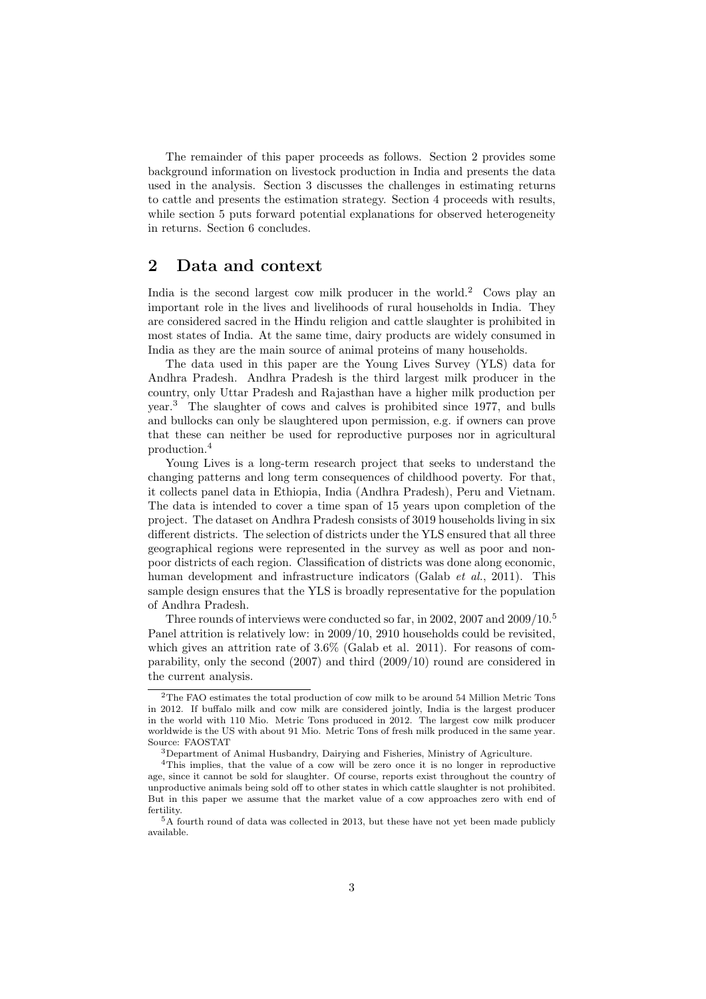The remainder of this paper proceeds as follows. Section 2 provides some background information on livestock production in India and presents the data used in the analysis. Section 3 discusses the challenges in estimating returns to cattle and presents the estimation strategy. Section 4 proceeds with results, while section 5 puts forward potential explanations for observed heterogeneity in returns. Section 6 concludes.

#### 2 Data and context

India is the second largest cow milk producer in the world.<sup>2</sup> Cows play an important role in the lives and livelihoods of rural households in India. They are considered sacred in the Hindu religion and cattle slaughter is prohibited in most states of India. At the same time, dairy products are widely consumed in India as they are the main source of animal proteins of many households.

The data used in this paper are the Young Lives Survey (YLS) data for Andhra Pradesh. Andhra Pradesh is the third largest milk producer in the country, only Uttar Pradesh and Rajasthan have a higher milk production per year.<sup>3</sup> The slaughter of cows and calves is prohibited since 1977, and bulls and bullocks can only be slaughtered upon permission, e.g. if owners can prove that these can neither be used for reproductive purposes nor in agricultural production.<sup>4</sup>

Young Lives is a long-term research project that seeks to understand the changing patterns and long term consequences of childhood poverty. For that, it collects panel data in Ethiopia, India (Andhra Pradesh), Peru and Vietnam. The data is intended to cover a time span of 15 years upon completion of the project. The dataset on Andhra Pradesh consists of 3019 households living in six different districts. The selection of districts under the YLS ensured that all three geographical regions were represented in the survey as well as poor and nonpoor districts of each region. Classification of districts was done along economic, human development and infrastructure indicators (Galab *et al.*, 2011). This sample design ensures that the YLS is broadly representative for the population of Andhra Pradesh.

Three rounds of interviews were conducted so far, in 2002, 2007 and 2009/10.<sup>5</sup> Panel attrition is relatively low: in 2009/10, 2910 households could be revisited, which gives an attrition rate of 3.6% (Galab et al. 2011). For reasons of comparability, only the second (2007) and third (2009/10) round are considered in the current analysis.

<sup>2</sup>The FAO estimates the total production of cow milk to be around 54 Million Metric Tons in 2012. If buffalo milk and cow milk are considered jointly, India is the largest producer in the world with 110 Mio. Metric Tons produced in 2012. The largest cow milk producer worldwide is the US with about 91 Mio. Metric Tons of fresh milk produced in the same year. Source: FAOSTAT

<sup>3</sup>Department of Animal Husbandry, Dairying and Fisheries, Ministry of Agriculture.

<sup>4</sup>This implies, that the value of a cow will be zero once it is no longer in reproductive age, since it cannot be sold for slaughter. Of course, reports exist throughout the country of unproductive animals being sold off to other states in which cattle slaughter is not prohibited. But in this paper we assume that the market value of a cow approaches zero with end of fertility.

<sup>5</sup>A fourth round of data was collected in 2013, but these have not yet been made publicly available.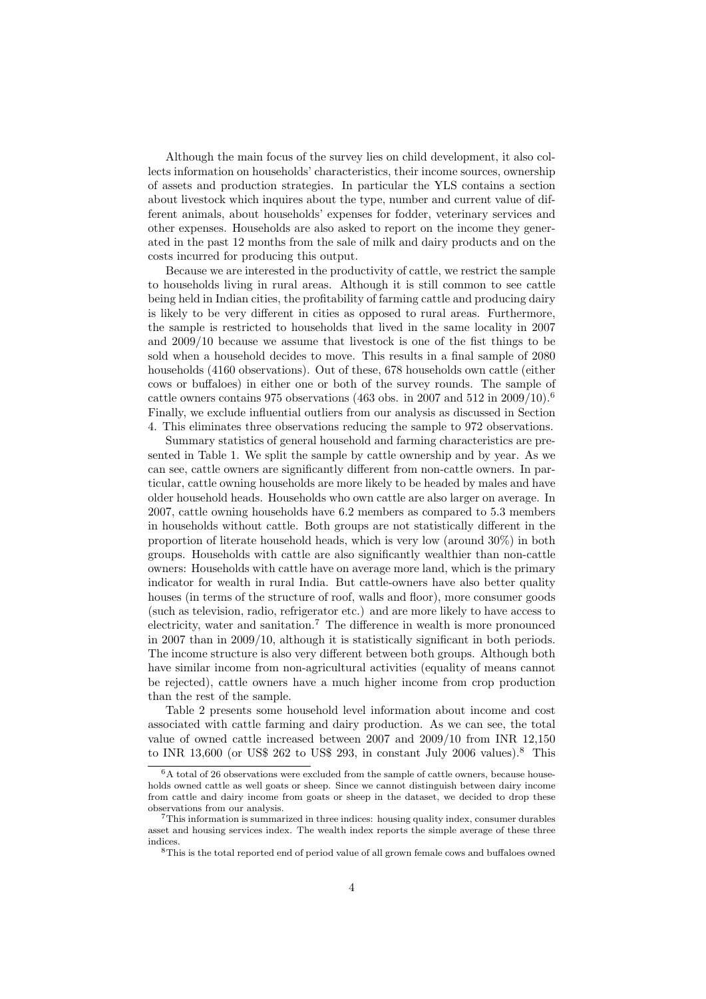Although the main focus of the survey lies on child development, it also collects information on households' characteristics, their income sources, ownership of assets and production strategies. In particular the YLS contains a section about livestock which inquires about the type, number and current value of different animals, about households' expenses for fodder, veterinary services and other expenses. Households are also asked to report on the income they generated in the past 12 months from the sale of milk and dairy products and on the costs incurred for producing this output.

Because we are interested in the productivity of cattle, we restrict the sample to households living in rural areas. Although it is still common to see cattle being held in Indian cities, the profitability of farming cattle and producing dairy is likely to be very different in cities as opposed to rural areas. Furthermore, the sample is restricted to households that lived in the same locality in 2007 and 2009/10 because we assume that livestock is one of the fist things to be sold when a household decides to move. This results in a final sample of 2080 households (4160 observations). Out of these, 678 households own cattle (either cows or buffaloes) in either one or both of the survey rounds. The sample of cattle owners contains 975 observations (463 obs. in 2007 and 512 in 2009/10).<sup>6</sup> Finally, we exclude influential outliers from our analysis as discussed in Section 4. This eliminates three observations reducing the sample to 972 observations.

Summary statistics of general household and farming characteristics are presented in Table 1. We split the sample by cattle ownership and by year. As we can see, cattle owners are significantly different from non-cattle owners. In particular, cattle owning households are more likely to be headed by males and have older household heads. Households who own cattle are also larger on average. In 2007, cattle owning households have 6.2 members as compared to 5.3 members in households without cattle. Both groups are not statistically different in the proportion of literate household heads, which is very low (around 30%) in both groups. Households with cattle are also significantly wealthier than non-cattle owners: Households with cattle have on average more land, which is the primary indicator for wealth in rural India. But cattle-owners have also better quality houses (in terms of the structure of roof, walls and floor), more consumer goods (such as television, radio, refrigerator etc.) and are more likely to have access to electricity, water and sanitation.<sup>7</sup> The difference in wealth is more pronounced in 2007 than in 2009/10, although it is statistically significant in both periods. The income structure is also very different between both groups. Although both have similar income from non-agricultural activities (equality of means cannot be rejected), cattle owners have a much higher income from crop production than the rest of the sample.

Table 2 presents some household level information about income and cost associated with cattle farming and dairy production. As we can see, the total value of owned cattle increased between 2007 and 2009/10 from INR 12,150 to INR 13,600 (or US\$ 262 to US\$ 293, in constant July 2006 values).<sup>8</sup> This

 ${}^6\mathrm{A}$  total of 26 observations were excluded from the sample of cattle owners, because households owned cattle as well goats or sheep. Since we cannot distinguish between dairy income from cattle and dairy income from goats or sheep in the dataset, we decided to drop these observations from our analysis.

<sup>7</sup>This information is summarized in three indices: housing quality index, consumer durables asset and housing services index. The wealth index reports the simple average of these three indices.

<sup>8</sup>This is the total reported end of period value of all grown female cows and buffaloes owned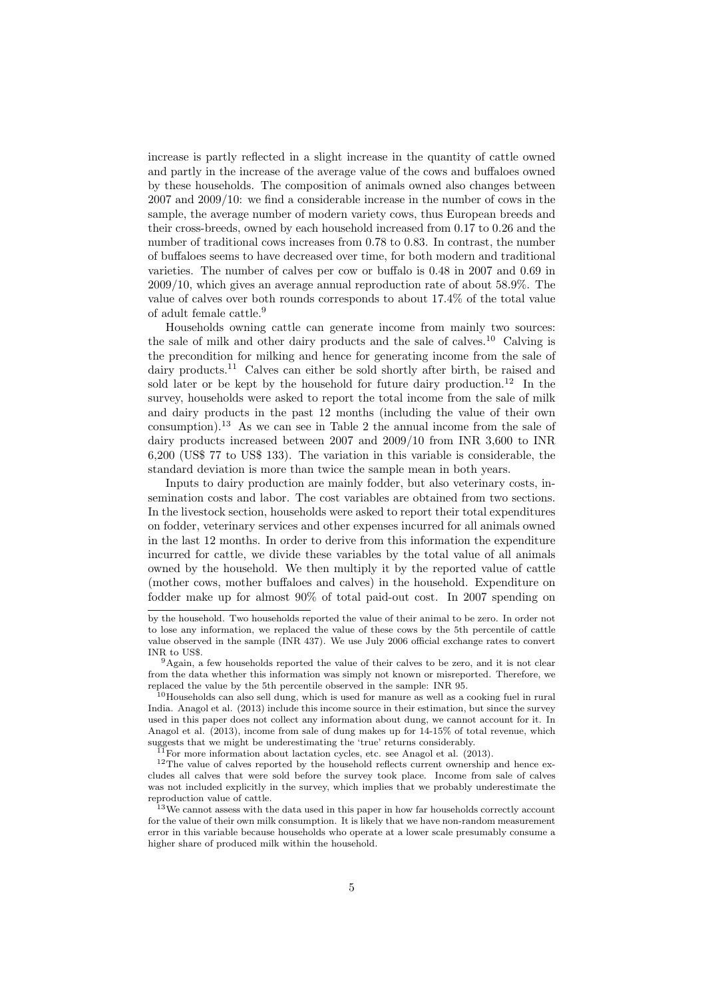increase is partly reflected in a slight increase in the quantity of cattle owned and partly in the increase of the average value of the cows and buffaloes owned by these households. The composition of animals owned also changes between 2007 and 2009/10: we find a considerable increase in the number of cows in the sample, the average number of modern variety cows, thus European breeds and their cross-breeds, owned by each household increased from 0.17 to 0.26 and the number of traditional cows increases from 0.78 to 0.83. In contrast, the number of buffaloes seems to have decreased over time, for both modern and traditional varieties. The number of calves per cow or buffalo is 0.48 in 2007 and 0.69 in 2009/10, which gives an average annual reproduction rate of about 58.9%. The value of calves over both rounds corresponds to about 17.4% of the total value of adult female cattle.<sup>9</sup>

Households owning cattle can generate income from mainly two sources: the sale of milk and other dairy products and the sale of calves.<sup>10</sup> Calving is the precondition for milking and hence for generating income from the sale of dairy products.<sup>11</sup> Calves can either be sold shortly after birth, be raised and sold later or be kept by the household for future dairy production.<sup>12</sup> In the survey, households were asked to report the total income from the sale of milk and dairy products in the past 12 months (including the value of their own consumption).<sup>13</sup> As we can see in Table 2 the annual income from the sale of dairy products increased between 2007 and 2009/10 from INR 3,600 to INR 6,200 (US\$ 77 to US\$ 133). The variation in this variable is considerable, the standard deviation is more than twice the sample mean in both years.

Inputs to dairy production are mainly fodder, but also veterinary costs, insemination costs and labor. The cost variables are obtained from two sections. In the livestock section, households were asked to report their total expenditures on fodder, veterinary services and other expenses incurred for all animals owned in the last 12 months. In order to derive from this information the expenditure incurred for cattle, we divide these variables by the total value of all animals owned by the household. We then multiply it by the reported value of cattle (mother cows, mother buffaloes and calves) in the household. Expenditure on fodder make up for almost 90% of total paid-out cost. In 2007 spending on

by the household. Two households reported the value of their animal to be zero. In order not to lose any information, we replaced the value of these cows by the 5th percentile of cattle value observed in the sample (INR 437). We use July 2006 official exchange rates to convert INR to US\$.

<sup>9</sup>Again, a few households reported the value of their calves to be zero, and it is not clear from the data whether this information was simply not known or misreported. Therefore, we replaced the value by the 5th percentile observed in the sample: INR 95.

<sup>&</sup>lt;sup>10</sup>Households can also sell dung, which is used for manure as well as a cooking fuel in rural India. Anagol et al. (2013) include this income source in their estimation, but since the survey used in this paper does not collect any information about dung, we cannot account for it. In Anagol et al. (2013), income from sale of dung makes up for 14-15% of total revenue, which suggests that we might be underestimating the 'true' returns considerably.

 $^{11}$ For more information about lactation cycles, etc. see Anagol et al. (2013).

<sup>&</sup>lt;sup>12</sup>The value of calves reported by the household reflects current ownership and hence excludes all calves that were sold before the survey took place. Income from sale of calves was not included explicitly in the survey, which implies that we probably underestimate the reproduction value of cattle.

<sup>&</sup>lt;sup>13</sup>We cannot assess with the data used in this paper in how far households correctly account for the value of their own milk consumption. It is likely that we have non-random measurement error in this variable because households who operate at a lower scale presumably consume a higher share of produced milk within the household.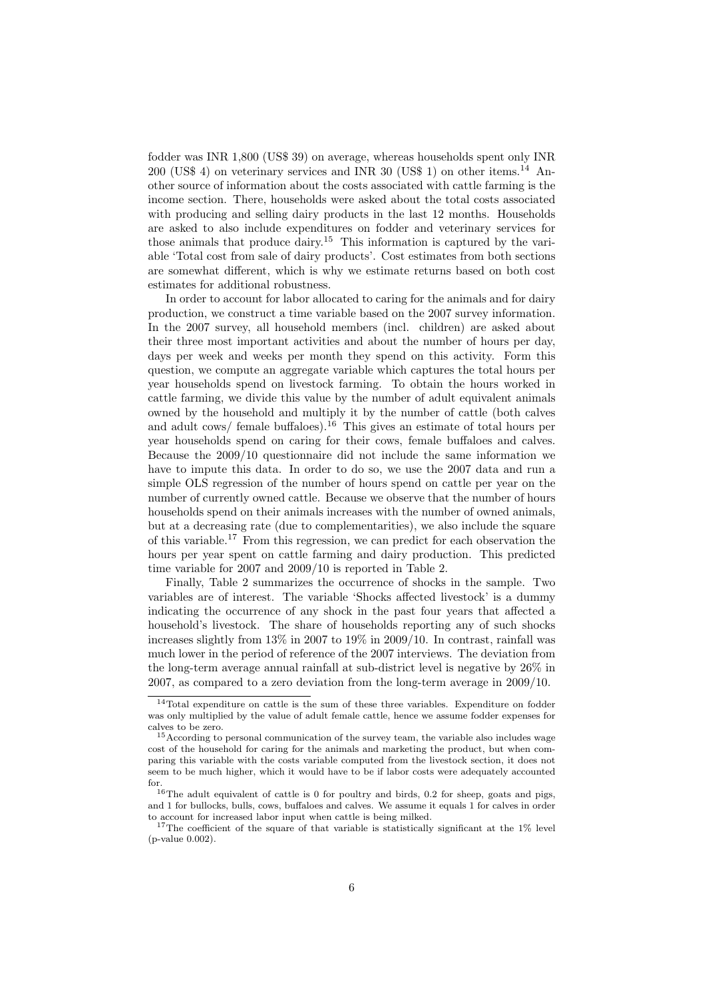fodder was INR 1,800 (US\$ 39) on average, whereas households spent only INR 200 (US\$ 4) on veterinary services and INR 30 (US\$ 1) on other items.<sup>14</sup> Another source of information about the costs associated with cattle farming is the income section. There, households were asked about the total costs associated with producing and selling dairy products in the last 12 months. Households are asked to also include expenditures on fodder and veterinary services for those animals that produce dairy.<sup>15</sup> This information is captured by the variable 'Total cost from sale of dairy products'. Cost estimates from both sections are somewhat different, which is why we estimate returns based on both cost estimates for additional robustness.

In order to account for labor allocated to caring for the animals and for dairy production, we construct a time variable based on the 2007 survey information. In the 2007 survey, all household members (incl. children) are asked about their three most important activities and about the number of hours per day, days per week and weeks per month they spend on this activity. Form this question, we compute an aggregate variable which captures the total hours per year households spend on livestock farming. To obtain the hours worked in cattle farming, we divide this value by the number of adult equivalent animals owned by the household and multiply it by the number of cattle (both calves and adult cows/ female buffaloes).<sup>16</sup> This gives an estimate of total hours per year households spend on caring for their cows, female buffaloes and calves. Because the 2009/10 questionnaire did not include the same information we have to impute this data. In order to do so, we use the 2007 data and run a simple OLS regression of the number of hours spend on cattle per year on the number of currently owned cattle. Because we observe that the number of hours households spend on their animals increases with the number of owned animals, but at a decreasing rate (due to complementarities), we also include the square of this variable.<sup>17</sup> From this regression, we can predict for each observation the hours per year spent on cattle farming and dairy production. This predicted time variable for 2007 and 2009/10 is reported in Table 2.

Finally, Table 2 summarizes the occurrence of shocks in the sample. Two variables are of interest. The variable 'Shocks affected livestock' is a dummy indicating the occurrence of any shock in the past four years that affected a household's livestock. The share of households reporting any of such shocks increases slightly from 13% in 2007 to 19% in 2009/10. In contrast, rainfall was much lower in the period of reference of the 2007 interviews. The deviation from the long-term average annual rainfall at sub-district level is negative by 26% in 2007, as compared to a zero deviation from the long-term average in 2009/10.

 $14$ Total expenditure on cattle is the sum of these three variables. Expenditure on fodder was only multiplied by the value of adult female cattle, hence we assume fodder expenses for calves to be zero.

<sup>15</sup>According to personal communication of the survey team, the variable also includes wage cost of the household for caring for the animals and marketing the product, but when comparing this variable with the costs variable computed from the livestock section, it does not seem to be much higher, which it would have to be if labor costs were adequately accounted for.

<sup>16</sup>The adult equivalent of cattle is 0 for poultry and birds, 0.2 for sheep, goats and pigs, and 1 for bullocks, bulls, cows, buffaloes and calves. We assume it equals 1 for calves in order to account for increased labor input when cattle is being milked.

<sup>&</sup>lt;sup>17</sup>The coefficient of the square of that variable is statistically significant at the  $1\%$  level (p-value 0.002).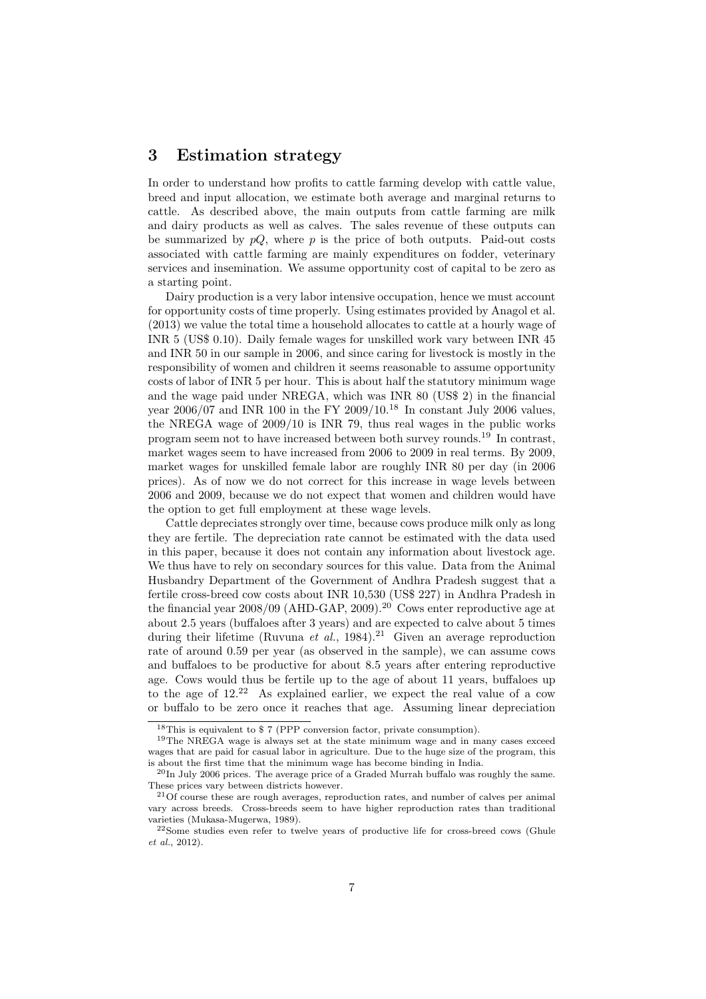#### 3 Estimation strategy

In order to understand how profits to cattle farming develop with cattle value, breed and input allocation, we estimate both average and marginal returns to cattle. As described above, the main outputs from cattle farming are milk and dairy products as well as calves. The sales revenue of these outputs can be summarized by  $pQ$ , where p is the price of both outputs. Paid-out costs associated with cattle farming are mainly expenditures on fodder, veterinary services and insemination. We assume opportunity cost of capital to be zero as a starting point.

Dairy production is a very labor intensive occupation, hence we must account for opportunity costs of time properly. Using estimates provided by Anagol et al. (2013) we value the total time a household allocates to cattle at a hourly wage of INR 5 (US\$ 0.10). Daily female wages for unskilled work vary between INR 45 and INR 50 in our sample in 2006, and since caring for livestock is mostly in the responsibility of women and children it seems reasonable to assume opportunity costs of labor of INR 5 per hour. This is about half the statutory minimum wage and the wage paid under NREGA, which was INR 80 (US\$ 2) in the financial year  $2006/07$  and INR 100 in the FY  $2009/10^{18}$  In constant July 2006 values, the NREGA wage of 2009/10 is INR 79, thus real wages in the public works program seem not to have increased between both survey rounds.<sup>19</sup> In contrast, market wages seem to have increased from 2006 to 2009 in real terms. By 2009, market wages for unskilled female labor are roughly INR 80 per day (in 2006 prices). As of now we do not correct for this increase in wage levels between 2006 and 2009, because we do not expect that women and children would have the option to get full employment at these wage levels.

Cattle depreciates strongly over time, because cows produce milk only as long they are fertile. The depreciation rate cannot be estimated with the data used in this paper, because it does not contain any information about livestock age. We thus have to rely on secondary sources for this value. Data from the Animal Husbandry Department of the Government of Andhra Pradesh suggest that a fertile cross-breed cow costs about INR 10,530 (US\$ 227) in Andhra Pradesh in the financial year  $2008/09$  (AHD-GAP,  $2009$ ).<sup>20</sup> Cows enter reproductive age at about 2.5 years (buffaloes after 3 years) and are expected to calve about 5 times during their lifetime (Ruvuna et al., 1984).<sup>21</sup> Given an average reproduction rate of around 0.59 per year (as observed in the sample), we can assume cows and buffaloes to be productive for about 8.5 years after entering reproductive age. Cows would thus be fertile up to the age of about 11 years, buffaloes up to the age of  $12<sup>22</sup>$  As explained earlier, we expect the real value of a cow or buffalo to be zero once it reaches that age. Assuming linear depreciation

<sup>18</sup>This is equivalent to \$ 7 (PPP conversion factor, private consumption).

<sup>&</sup>lt;sup>19</sup>The NREGA wage is always set at the state minimum wage and in many cases exceed wages that are paid for casual labor in agriculture. Due to the huge size of the program, this is about the first time that the minimum wage has become binding in India.

 $^{20}$ In July 2006 prices. The average price of a Graded Murrah buffalo was roughly the same. These prices vary between districts however.

<sup>21</sup>Of course these are rough averages, reproduction rates, and number of calves per animal vary across breeds. Cross-breeds seem to have higher reproduction rates than traditional varieties (Mukasa-Mugerwa, 1989).

<sup>22</sup>Some studies even refer to twelve years of productive life for cross-breed cows (Ghule et al., 2012).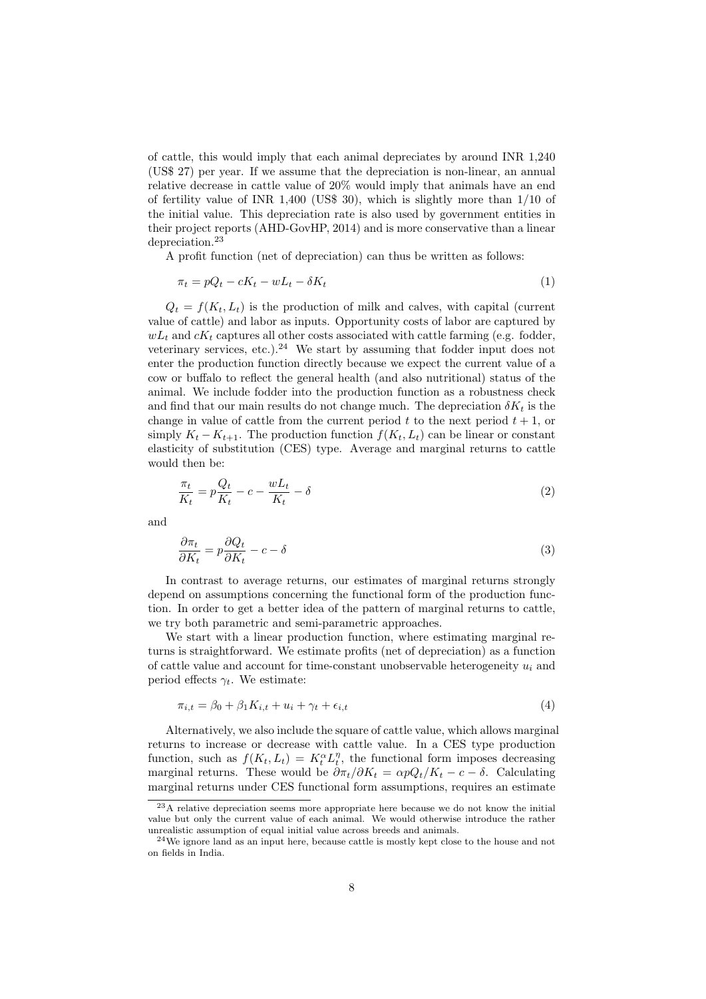of cattle, this would imply that each animal depreciates by around INR 1,240 (US\$ 27) per year. If we assume that the depreciation is non-linear, an annual relative decrease in cattle value of 20% would imply that animals have an end of fertility value of INR 1,400 (US\$ 30), which is slightly more than 1/10 of the initial value. This depreciation rate is also used by government entities in their project reports (AHD-GovHP, 2014) and is more conservative than a linear depreciation.<sup>23</sup>

A profit function (net of depreciation) can thus be written as follows:

$$
\pi_t = pQ_t - cK_t - wL_t - \delta K_t \tag{1}
$$

 $Q_t = f(K_t, L_t)$  is the production of milk and calves, with capital (current value of cattle) and labor as inputs. Opportunity costs of labor are captured by  $wL_t$  and  $cK_t$  captures all other costs associated with cattle farming (e.g. fodder, veterinary services, etc.).<sup>24</sup> We start by assuming that fodder input does not enter the production function directly because we expect the current value of a cow or buffalo to reflect the general health (and also nutritional) status of the animal. We include fodder into the production function as a robustness check and find that our main results do not change much. The depreciation  $\delta K_t$  is the change in value of cattle from the current period  $t$  to the next period  $t + 1$ , or simply  $K_t - K_{t+1}$ . The production function  $f(K_t, L_t)$  can be linear or constant elasticity of substitution (CES) type. Average and marginal returns to cattle would then be:

$$
\frac{\pi_t}{K_t} = p \frac{Q_t}{K_t} - c - \frac{w L_t}{K_t} - \delta \tag{2}
$$

and

$$
\frac{\partial \pi_t}{\partial K_t} = p \frac{\partial Q_t}{\partial K_t} - c - \delta \tag{3}
$$

In contrast to average returns, our estimates of marginal returns strongly depend on assumptions concerning the functional form of the production function. In order to get a better idea of the pattern of marginal returns to cattle, we try both parametric and semi-parametric approaches.

We start with a linear production function, where estimating marginal returns is straightforward. We estimate profits (net of depreciation) as a function of cattle value and account for time-constant unobservable heterogeneity  $u_i$  and period effects  $\gamma_t$ . We estimate:

$$
\pi_{i,t} = \beta_0 + \beta_1 K_{i,t} + u_i + \gamma_t + \epsilon_{i,t} \tag{4}
$$

Alternatively, we also include the square of cattle value, which allows marginal returns to increase or decrease with cattle value. In a CES type production function, such as  $f(K_t, L_t) = K_t^{\alpha} L_t^{\eta}$ , the functional form imposes decreasing marginal returns. These would be  $\partial \pi_t / \partial K_t = \alpha p Q_t / K_t - c - \delta$ . Calculating marginal returns under CES functional form assumptions, requires an estimate

<sup>23</sup>A relative depreciation seems more appropriate here because we do not know the initial value but only the current value of each animal. We would otherwise introduce the rather unrealistic assumption of equal initial value across breeds and animals.

 $24$ We ignore land as an input here, because cattle is mostly kept close to the house and not on fields in India.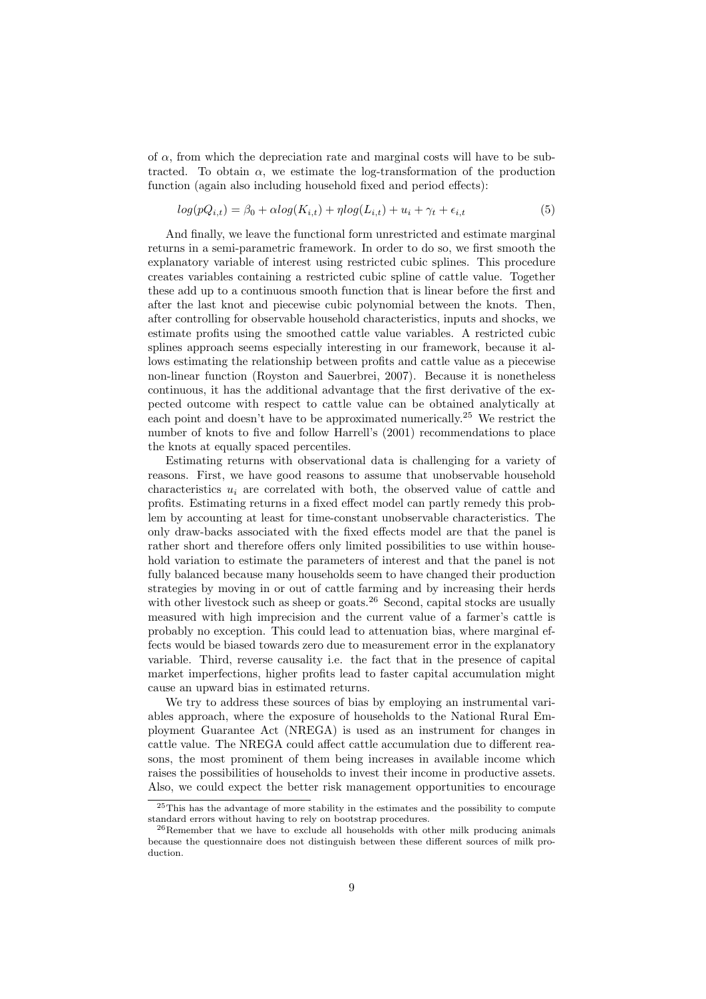of  $\alpha$ , from which the depreciation rate and marginal costs will have to be subtracted. To obtain  $\alpha$ , we estimate the log-transformation of the production function (again also including household fixed and period effects):

$$
log(pQ_{i,t}) = \beta_0 + \alpha log(K_{i,t}) + \eta log(L_{i,t}) + u_i + \gamma_t + \epsilon_{i,t}
$$
\n
$$
(5)
$$

And finally, we leave the functional form unrestricted and estimate marginal returns in a semi-parametric framework. In order to do so, we first smooth the explanatory variable of interest using restricted cubic splines. This procedure creates variables containing a restricted cubic spline of cattle value. Together these add up to a continuous smooth function that is linear before the first and after the last knot and piecewise cubic polynomial between the knots. Then, after controlling for observable household characteristics, inputs and shocks, we estimate profits using the smoothed cattle value variables. A restricted cubic splines approach seems especially interesting in our framework, because it allows estimating the relationship between profits and cattle value as a piecewise non-linear function (Royston and Sauerbrei, 2007). Because it is nonetheless continuous, it has the additional advantage that the first derivative of the expected outcome with respect to cattle value can be obtained analytically at each point and doesn't have to be approximated numerically.<sup>25</sup> We restrict the number of knots to five and follow Harrell's (2001) recommendations to place the knots at equally spaced percentiles.

Estimating returns with observational data is challenging for a variety of reasons. First, we have good reasons to assume that unobservable household characteristics  $u_i$  are correlated with both, the observed value of cattle and profits. Estimating returns in a fixed effect model can partly remedy this problem by accounting at least for time-constant unobservable characteristics. The only draw-backs associated with the fixed effects model are that the panel is rather short and therefore offers only limited possibilities to use within household variation to estimate the parameters of interest and that the panel is not fully balanced because many households seem to have changed their production strategies by moving in or out of cattle farming and by increasing their herds with other livestock such as sheep or goats.<sup>26</sup> Second, capital stocks are usually measured with high imprecision and the current value of a farmer's cattle is probably no exception. This could lead to attenuation bias, where marginal effects would be biased towards zero due to measurement error in the explanatory variable. Third, reverse causality i.e. the fact that in the presence of capital market imperfections, higher profits lead to faster capital accumulation might cause an upward bias in estimated returns.

We try to address these sources of bias by employing an instrumental variables approach, where the exposure of households to the National Rural Employment Guarantee Act (NREGA) is used as an instrument for changes in cattle value. The NREGA could affect cattle accumulation due to different reasons, the most prominent of them being increases in available income which raises the possibilities of households to invest their income in productive assets. Also, we could expect the better risk management opportunities to encourage

<sup>&</sup>lt;sup>25</sup>This has the advantage of more stability in the estimates and the possibility to compute standard errors without having to rely on bootstrap procedures.

<sup>&</sup>lt;sup>26</sup>Remember that we have to exclude all households with other milk producing animals because the questionnaire does not distinguish between these different sources of milk production.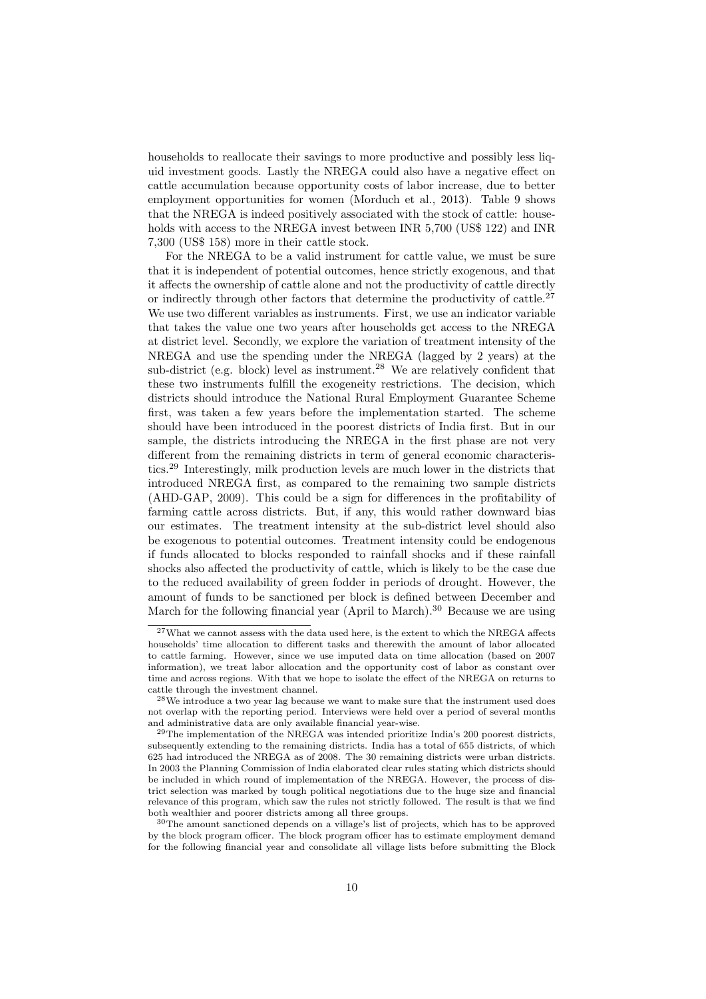households to reallocate their savings to more productive and possibly less liquid investment goods. Lastly the NREGA could also have a negative effect on cattle accumulation because opportunity costs of labor increase, due to better employment opportunities for women (Morduch et al., 2013). Table 9 shows that the NREGA is indeed positively associated with the stock of cattle: households with access to the NREGA invest between INR 5,700 (US\$ 122) and INR 7,300 (US\$ 158) more in their cattle stock.

For the NREGA to be a valid instrument for cattle value, we must be sure that it is independent of potential outcomes, hence strictly exogenous, and that it affects the ownership of cattle alone and not the productivity of cattle directly or indirectly through other factors that determine the productivity of cattle.<sup>27</sup> We use two different variables as instruments. First, we use an indicator variable that takes the value one two years after households get access to the NREGA at district level. Secondly, we explore the variation of treatment intensity of the NREGA and use the spending under the NREGA (lagged by 2 years) at the sub-district (e.g. block) level as instrument.<sup>28</sup> We are relatively confident that these two instruments fulfill the exogeneity restrictions. The decision, which districts should introduce the National Rural Employment Guarantee Scheme first, was taken a few years before the implementation started. The scheme should have been introduced in the poorest districts of India first. But in our sample, the districts introducing the NREGA in the first phase are not very different from the remaining districts in term of general economic characteristics.<sup>29</sup> Interestingly, milk production levels are much lower in the districts that introduced NREGA first, as compared to the remaining two sample districts (AHD-GAP, 2009). This could be a sign for differences in the profitability of farming cattle across districts. But, if any, this would rather downward bias our estimates. The treatment intensity at the sub-district level should also be exogenous to potential outcomes. Treatment intensity could be endogenous if funds allocated to blocks responded to rainfall shocks and if these rainfall shocks also affected the productivity of cattle, which is likely to be the case due to the reduced availability of green fodder in periods of drought. However, the amount of funds to be sanctioned per block is defined between December and March for the following financial year (April to March).<sup>30</sup> Because we are using

 $^{27}\rm{W}$  what we cannot assess with the data used here, is the extent to which the NREGA affects households' time allocation to different tasks and therewith the amount of labor allocated to cattle farming. However, since we use imputed data on time allocation (based on 2007 information), we treat labor allocation and the opportunity cost of labor as constant over time and across regions. With that we hope to isolate the effect of the NREGA on returns to cattle through the investment channel.

 $28$ We introduce a two year lag because we want to make sure that the instrument used does not overlap with the reporting period. Interviews were held over a period of several months and administrative data are only available financial year-wise.

 $^{29}$ The implementation of the NREGA was intended prioritize India's 200 poorest districts, subsequently extending to the remaining districts. India has a total of 655 districts, of which 625 had introduced the NREGA as of 2008. The 30 remaining districts were urban districts. In 2003 the Planning Commission of India elaborated clear rules stating which districts should be included in which round of implementation of the NREGA. However, the process of district selection was marked by tough political negotiations due to the huge size and financial relevance of this program, which saw the rules not strictly followed. The result is that we find both wealthier and poorer districts among all three groups.

<sup>30</sup>The amount sanctioned depends on a village's list of projects, which has to be approved by the block program officer. The block program officer has to estimate employment demand for the following financial year and consolidate all village lists before submitting the Block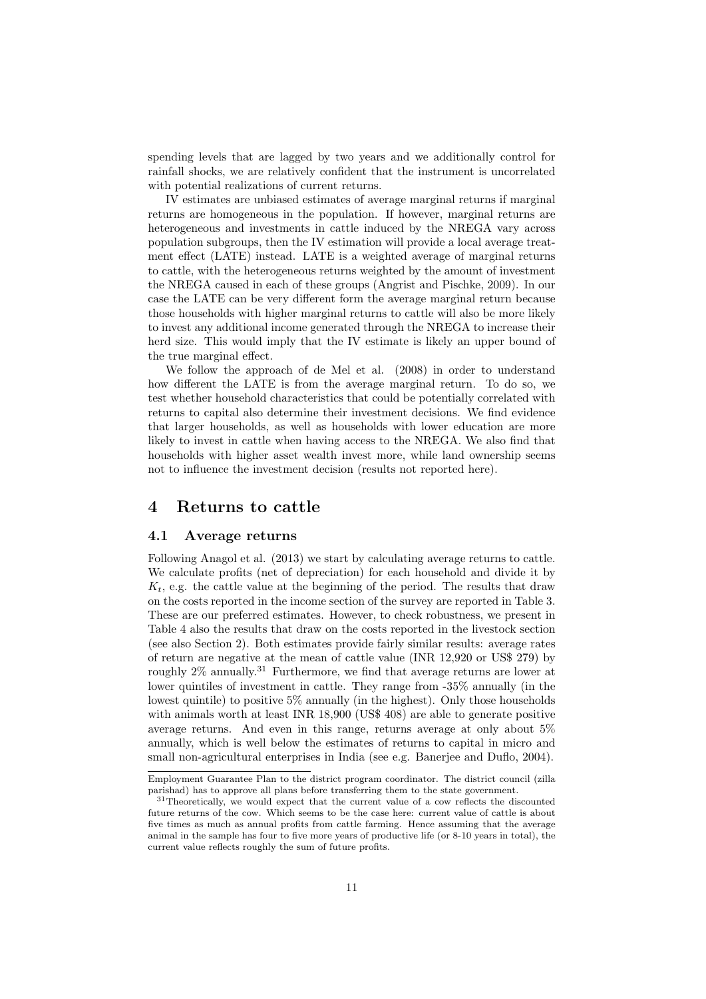spending levels that are lagged by two years and we additionally control for rainfall shocks, we are relatively confident that the instrument is uncorrelated with potential realizations of current returns.

IV estimates are unbiased estimates of average marginal returns if marginal returns are homogeneous in the population. If however, marginal returns are heterogeneous and investments in cattle induced by the NREGA vary across population subgroups, then the IV estimation will provide a local average treatment effect (LATE) instead. LATE is a weighted average of marginal returns to cattle, with the heterogeneous returns weighted by the amount of investment the NREGA caused in each of these groups (Angrist and Pischke, 2009). In our case the LATE can be very different form the average marginal return because those households with higher marginal returns to cattle will also be more likely to invest any additional income generated through the NREGA to increase their herd size. This would imply that the IV estimate is likely an upper bound of the true marginal effect.

We follow the approach of de Mel et al. (2008) in order to understand how different the LATE is from the average marginal return. To do so, we test whether household characteristics that could be potentially correlated with returns to capital also determine their investment decisions. We find evidence that larger households, as well as households with lower education are more likely to invest in cattle when having access to the NREGA. We also find that households with higher asset wealth invest more, while land ownership seems not to influence the investment decision (results not reported here).

#### 4 Returns to cattle

#### 4.1 Average returns

Following Anagol et al. (2013) we start by calculating average returns to cattle. We calculate profits (net of depreciation) for each household and divide it by  $K_t$ , e.g. the cattle value at the beginning of the period. The results that draw on the costs reported in the income section of the survey are reported in Table 3. These are our preferred estimates. However, to check robustness, we present in Table 4 also the results that draw on the costs reported in the livestock section (see also Section 2). Both estimates provide fairly similar results: average rates of return are negative at the mean of cattle value (INR 12,920 or US\$ 279) by roughly 2% annually.<sup>31</sup> Furthermore, we find that average returns are lower at lower quintiles of investment in cattle. They range from -35% annually (in the lowest quintile) to positive 5% annually (in the highest). Only those households with animals worth at least INR 18,900 (US\$ 408) are able to generate positive average returns. And even in this range, returns average at only about 5% annually, which is well below the estimates of returns to capital in micro and small non-agricultural enterprises in India (see e.g. Banerjee and Duflo, 2004).

Employment Guarantee Plan to the district program coordinator. The district council (zilla parishad) has to approve all plans before transferring them to the state government.

<sup>&</sup>lt;sup>31</sup>Theoretically, we would expect that the current value of a cow reflects the discounted future returns of the cow. Which seems to be the case here: current value of cattle is about five times as much as annual profits from cattle farming. Hence assuming that the average animal in the sample has four to five more years of productive life (or 8-10 years in total), the current value reflects roughly the sum of future profits.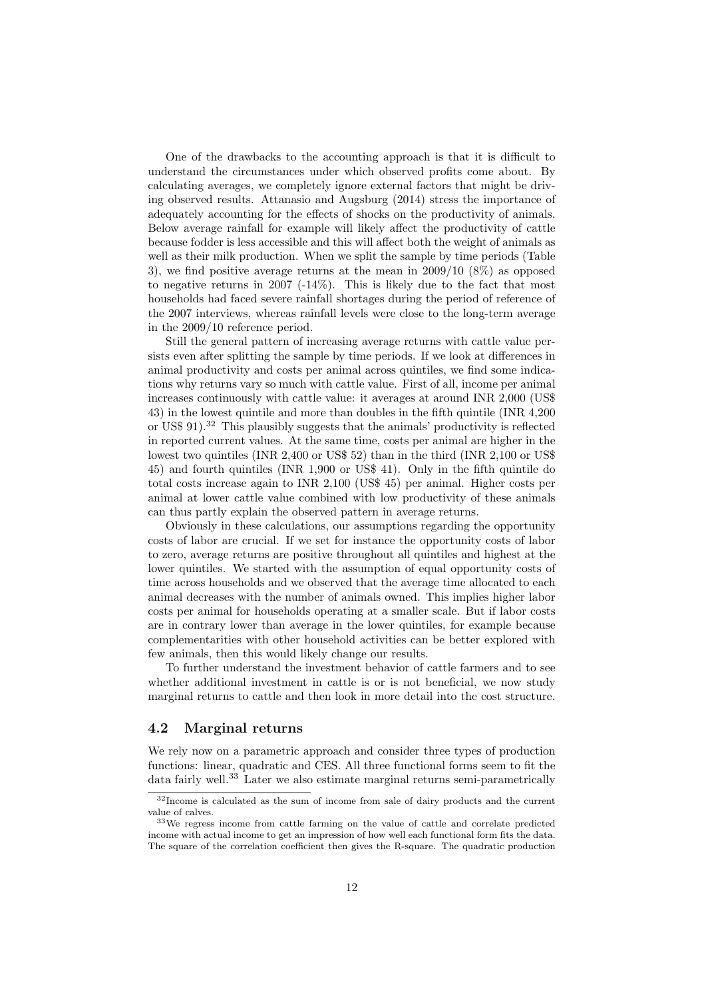One of the drawbacks to the accounting approach is that it is difficult to understand the circumstances under which observed profits come about. By calculating averages, we completely ignore external factors that might be driving observed results. Attanasio and Augsburg (2014) stress the importance of adequately accounting for the effects of shocks on the productivity of animals. Below average rainfall for example will likely affect the productivity of cattle because fodder is less accessible and this will affect both the weight of animals as well as their milk production. When we split the sample by time periods (Table 3), we find positive average returns at the mean in 2009/10 (8%) as opposed to negative returns in 2007 (-14%). This is likely due to the fact that most households had faced severe rainfall shortages during the period of reference of the 2007 interviews, whereas rainfall levels were close to the long-term average in the 2009/10 reference period.

Still the general pattern of increasing average returns with cattle value persists even after splitting the sample by time periods. If we look at differences in animal productivity and costs per animal across quintiles, we find some indications why returns vary so much with cattle value. First of all, income per animal increases continuously with cattle value: it averages at around INR 2,000 (US\$ 43) in the lowest quintile and more than doubles in the fifth quintile (INR 4,200 or US\$ 91).<sup>32</sup> This plausibly suggests that the animals' productivity is reflected in reported current values. At the same time, costs per animal are higher in the lowest two quintiles (INR 2,400 or US\$ 52) than in the third (INR 2,100 or US\$ 45) and fourth quintiles (INR 1,900 or US\$ 41). Only in the fifth quintile do total costs increase again to INR 2,100 (US\$ 45) per animal. Higher costs per animal at lower cattle value combined with low productivity of these animals can thus partly explain the observed pattern in average returns.

Obviously in these calculations, our assumptions regarding the opportunity costs of labor are crucial. If we set for instance the opportunity costs of labor to zero, average returns are positive throughout all quintiles and highest at the lower quintiles. We started with the assumption of equal opportunity costs of time across households and we observed that the average time allocated to each animal decreases with the number of animals owned. This implies higher labor costs per animal for households operating at a smaller scale. But if labor costs are in contrary lower than average in the lower quintiles, for example because complementarities with other household activities can be better explored with few animals, then this would likely change our results.

To further understand the investment behavior of cattle farmers and to see whether additional investment in cattle is or is not beneficial, we now study marginal returns to cattle and then look in more detail into the cost structure.

#### 4.2 Marginal returns

We rely now on a parametric approach and consider three types of production functions: linear, quadratic and CES. All three functional forms seem to fit the data fairly well.<sup>33</sup> Later we also estimate marginal returns semi-parametrically

<sup>&</sup>lt;sup>32</sup>Income is calculated as the sum of income from sale of dairy products and the current value of calves.

<sup>33</sup>We regress income from cattle farming on the value of cattle and correlate predicted income with actual income to get an impression of how well each functional form fits the data. The square of the correlation coefficient then gives the R-square. The quadratic production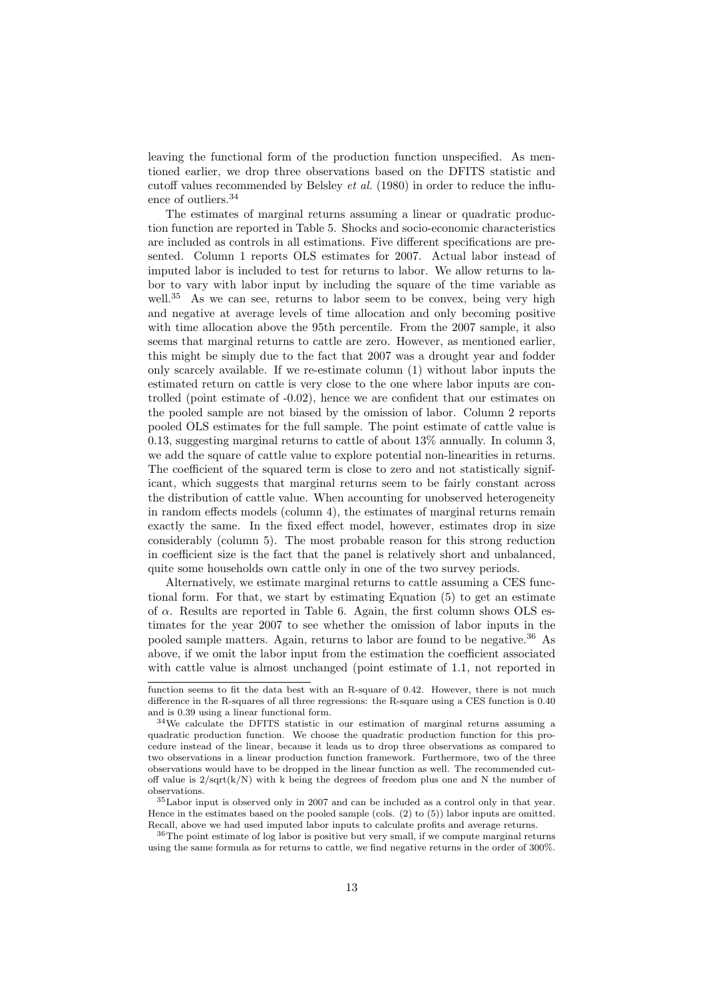leaving the functional form of the production function unspecified. As mentioned earlier, we drop three observations based on the DFITS statistic and cutoff values recommended by Belsley et al. (1980) in order to reduce the influence of outliers.<sup>34</sup>

The estimates of marginal returns assuming a linear or quadratic production function are reported in Table 5. Shocks and socio-economic characteristics are included as controls in all estimations. Five different specifications are presented. Column 1 reports OLS estimates for 2007. Actual labor instead of imputed labor is included to test for returns to labor. We allow returns to labor to vary with labor input by including the square of the time variable as well.<sup>35</sup> As we can see, returns to labor seem to be convex, being very high and negative at average levels of time allocation and only becoming positive with time allocation above the 95th percentile. From the 2007 sample, it also seems that marginal returns to cattle are zero. However, as mentioned earlier, this might be simply due to the fact that 2007 was a drought year and fodder only scarcely available. If we re-estimate column (1) without labor inputs the estimated return on cattle is very close to the one where labor inputs are controlled (point estimate of -0.02), hence we are confident that our estimates on the pooled sample are not biased by the omission of labor. Column 2 reports pooled OLS estimates for the full sample. The point estimate of cattle value is 0.13, suggesting marginal returns to cattle of about 13% annually. In column 3, we add the square of cattle value to explore potential non-linearities in returns. The coefficient of the squared term is close to zero and not statistically significant, which suggests that marginal returns seem to be fairly constant across the distribution of cattle value. When accounting for unobserved heterogeneity in random effects models (column 4), the estimates of marginal returns remain exactly the same. In the fixed effect model, however, estimates drop in size considerably (column 5). The most probable reason for this strong reduction in coefficient size is the fact that the panel is relatively short and unbalanced, quite some households own cattle only in one of the two survey periods.

Alternatively, we estimate marginal returns to cattle assuming a CES functional form. For that, we start by estimating Equation (5) to get an estimate of  $\alpha$ . Results are reported in Table 6. Again, the first column shows OLS estimates for the year 2007 to see whether the omission of labor inputs in the pooled sample matters. Again, returns to labor are found to be negative.<sup>36</sup> As above, if we omit the labor input from the estimation the coefficient associated with cattle value is almost unchanged (point estimate of 1.1, not reported in

function seems to fit the data best with an R-square of 0.42. However, there is not much difference in the R-squares of all three regressions: the R-square using a CES function is 0.40 and is 0.39 using a linear functional form.

<sup>34</sup>We calculate the DFITS statistic in our estimation of marginal returns assuming a quadratic production function. We choose the quadratic production function for this procedure instead of the linear, because it leads us to drop three observations as compared to two observations in a linear production function framework. Furthermore, two of the three observations would have to be dropped in the linear function as well. The recommended cutoff value is  $2/\sqrt{(k/N)}$  with k being the degrees of freedom plus one and N the number of observations.

<sup>35</sup>Labor input is observed only in 2007 and can be included as a control only in that year. Hence in the estimates based on the pooled sample (cols. (2) to (5)) labor inputs are omitted. Recall, above we had used imputed labor inputs to calculate profits and average returns.

<sup>&</sup>lt;sup>36</sup>The point estimate of log labor is positive but very small, if we compute marginal returns using the same formula as for returns to cattle, we find negative returns in the order of 300%.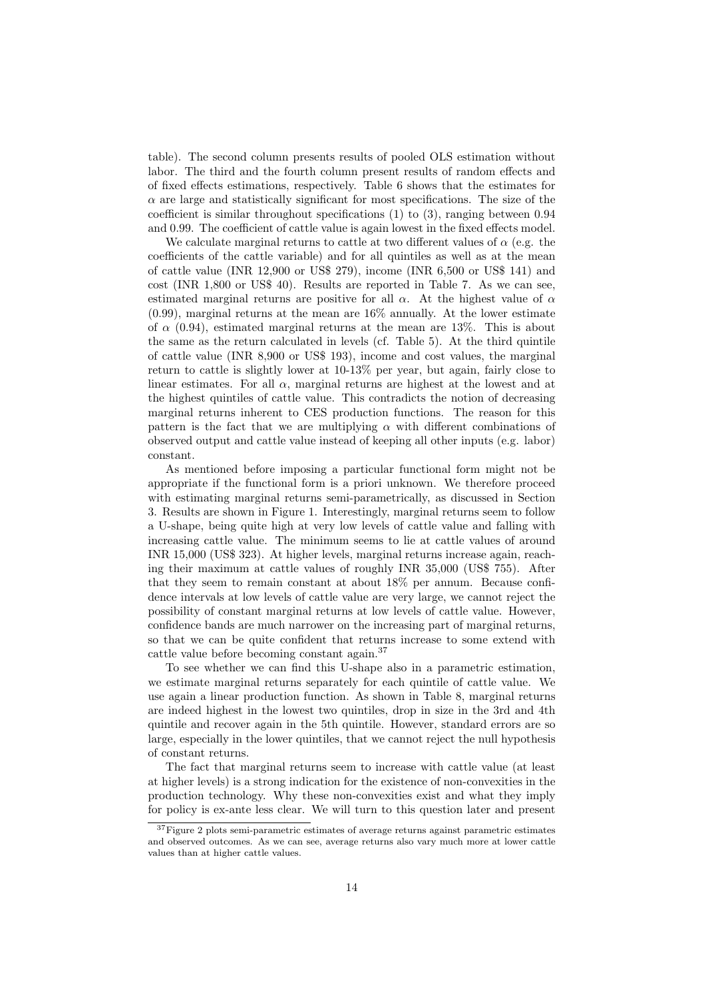table). The second column presents results of pooled OLS estimation without labor. The third and the fourth column present results of random effects and of fixed effects estimations, respectively. Table 6 shows that the estimates for  $\alpha$  are large and statistically significant for most specifications. The size of the coefficient is similar throughout specifications (1) to (3), ranging between 0.94 and 0.99. The coefficient of cattle value is again lowest in the fixed effects model.

We calculate marginal returns to cattle at two different values of  $\alpha$  (e.g. the coefficients of the cattle variable) and for all quintiles as well as at the mean of cattle value (INR 12,900 or US\$ 279), income (INR 6,500 or US\$ 141) and cost (INR 1,800 or US\$ 40). Results are reported in Table 7. As we can see, estimated marginal returns are positive for all  $\alpha$ . At the highest value of  $\alpha$ (0.99), marginal returns at the mean are 16% annually. At the lower estimate of  $\alpha$  (0.94), estimated marginal returns at the mean are 13%. This is about the same as the return calculated in levels (cf. Table 5). At the third quintile of cattle value (INR 8,900 or US\$ 193), income and cost values, the marginal return to cattle is slightly lower at 10-13% per year, but again, fairly close to linear estimates. For all  $\alpha$ , marginal returns are highest at the lowest and at the highest quintiles of cattle value. This contradicts the notion of decreasing marginal returns inherent to CES production functions. The reason for this pattern is the fact that we are multiplying  $\alpha$  with different combinations of observed output and cattle value instead of keeping all other inputs (e.g. labor) constant.

As mentioned before imposing a particular functional form might not be appropriate if the functional form is a priori unknown. We therefore proceed with estimating marginal returns semi-parametrically, as discussed in Section 3. Results are shown in Figure 1. Interestingly, marginal returns seem to follow a U-shape, being quite high at very low levels of cattle value and falling with increasing cattle value. The minimum seems to lie at cattle values of around INR 15,000 (US\$ 323). At higher levels, marginal returns increase again, reaching their maximum at cattle values of roughly INR 35,000 (US\$ 755). After that they seem to remain constant at about 18% per annum. Because confidence intervals at low levels of cattle value are very large, we cannot reject the possibility of constant marginal returns at low levels of cattle value. However, confidence bands are much narrower on the increasing part of marginal returns, so that we can be quite confident that returns increase to some extend with cattle value before becoming constant again.<sup>37</sup>

To see whether we can find this U-shape also in a parametric estimation, we estimate marginal returns separately for each quintile of cattle value. We use again a linear production function. As shown in Table 8, marginal returns are indeed highest in the lowest two quintiles, drop in size in the 3rd and 4th quintile and recover again in the 5th quintile. However, standard errors are so large, especially in the lower quintiles, that we cannot reject the null hypothesis of constant returns.

The fact that marginal returns seem to increase with cattle value (at least at higher levels) is a strong indication for the existence of non-convexities in the production technology. Why these non-convexities exist and what they imply for policy is ex-ante less clear. We will turn to this question later and present

 $37$  Figure 2 plots semi-parametric estimates of average returns against parametric estimates and observed outcomes. As we can see, average returns also vary much more at lower cattle values than at higher cattle values.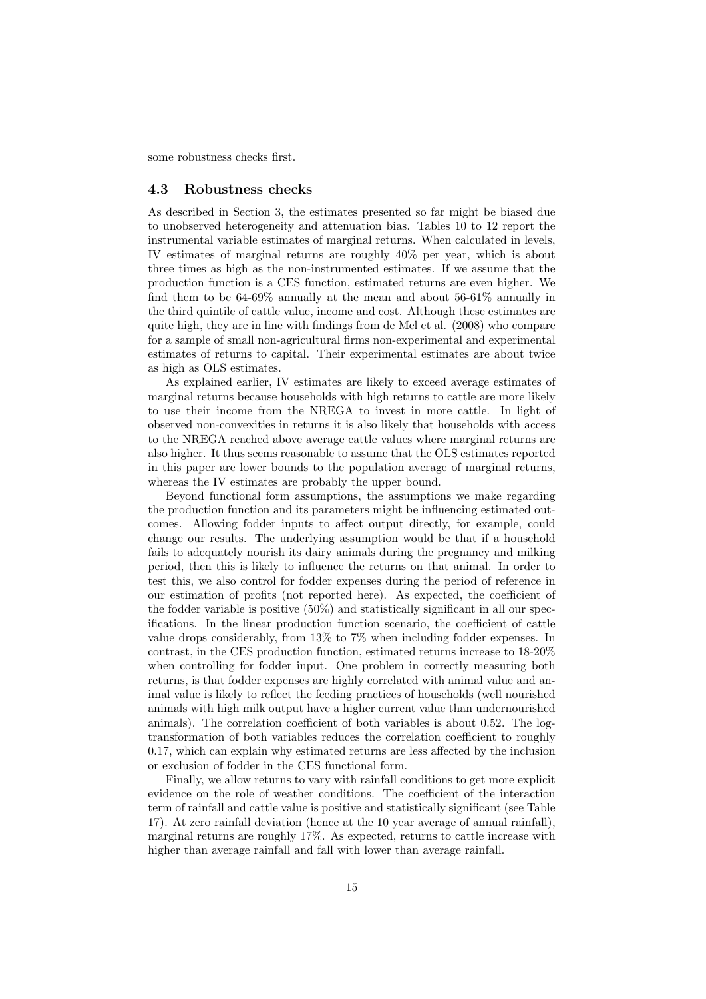some robustness checks first.

#### 4.3 Robustness checks

As described in Section 3, the estimates presented so far might be biased due to unobserved heterogeneity and attenuation bias. Tables 10 to 12 report the instrumental variable estimates of marginal returns. When calculated in levels, IV estimates of marginal returns are roughly 40% per year, which is about three times as high as the non-instrumented estimates. If we assume that the production function is a CES function, estimated returns are even higher. We find them to be 64-69% annually at the mean and about 56-61% annually in the third quintile of cattle value, income and cost. Although these estimates are quite high, they are in line with findings from de Mel et al. (2008) who compare for a sample of small non-agricultural firms non-experimental and experimental estimates of returns to capital. Their experimental estimates are about twice as high as OLS estimates.

As explained earlier, IV estimates are likely to exceed average estimates of marginal returns because households with high returns to cattle are more likely to use their income from the NREGA to invest in more cattle. In light of observed non-convexities in returns it is also likely that households with access to the NREGA reached above average cattle values where marginal returns are also higher. It thus seems reasonable to assume that the OLS estimates reported in this paper are lower bounds to the population average of marginal returns, whereas the IV estimates are probably the upper bound.

Beyond functional form assumptions, the assumptions we make regarding the production function and its parameters might be influencing estimated outcomes. Allowing fodder inputs to affect output directly, for example, could change our results. The underlying assumption would be that if a household fails to adequately nourish its dairy animals during the pregnancy and milking period, then this is likely to influence the returns on that animal. In order to test this, we also control for fodder expenses during the period of reference in our estimation of profits (not reported here). As expected, the coefficient of the fodder variable is positive (50%) and statistically significant in all our specifications. In the linear production function scenario, the coefficient of cattle value drops considerably, from 13% to 7% when including fodder expenses. In contrast, in the CES production function, estimated returns increase to 18-20% when controlling for fodder input. One problem in correctly measuring both returns, is that fodder expenses are highly correlated with animal value and animal value is likely to reflect the feeding practices of households (well nourished animals with high milk output have a higher current value than undernourished animals). The correlation coefficient of both variables is about 0.52. The logtransformation of both variables reduces the correlation coefficient to roughly 0.17, which can explain why estimated returns are less affected by the inclusion or exclusion of fodder in the CES functional form.

Finally, we allow returns to vary with rainfall conditions to get more explicit evidence on the role of weather conditions. The coefficient of the interaction term of rainfall and cattle value is positive and statistically significant (see Table 17). At zero rainfall deviation (hence at the 10 year average of annual rainfall), marginal returns are roughly 17%. As expected, returns to cattle increase with higher than average rainfall and fall with lower than average rainfall.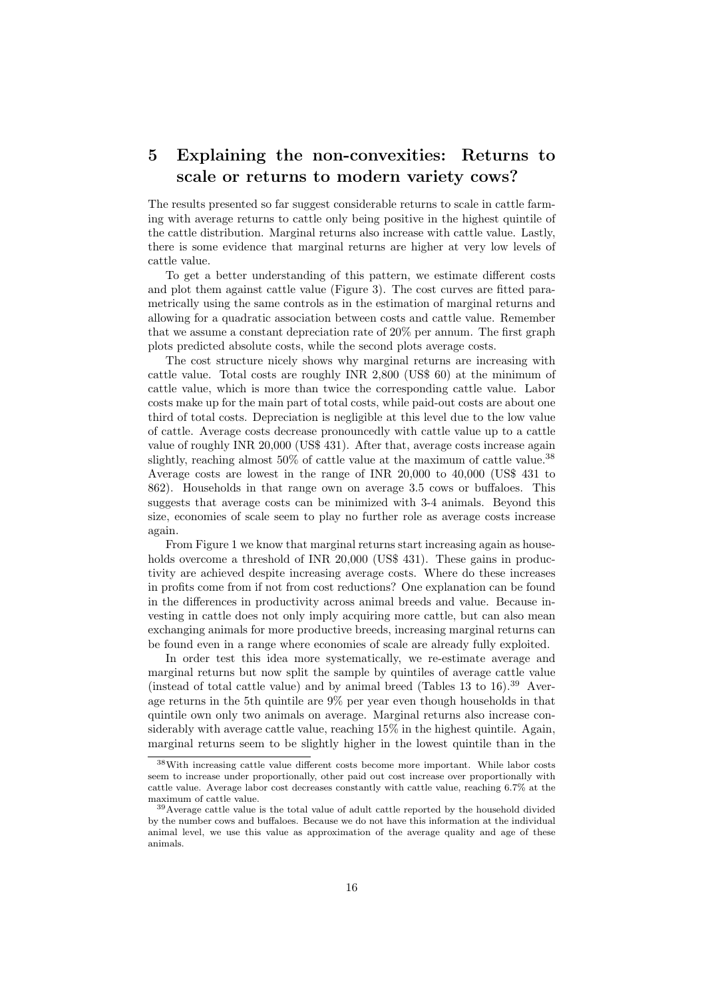### 5 Explaining the non-convexities: Returns to scale or returns to modern variety cows?

The results presented so far suggest considerable returns to scale in cattle farming with average returns to cattle only being positive in the highest quintile of the cattle distribution. Marginal returns also increase with cattle value. Lastly, there is some evidence that marginal returns are higher at very low levels of cattle value.

To get a better understanding of this pattern, we estimate different costs and plot them against cattle value (Figure 3). The cost curves are fitted parametrically using the same controls as in the estimation of marginal returns and allowing for a quadratic association between costs and cattle value. Remember that we assume a constant depreciation rate of 20% per annum. The first graph plots predicted absolute costs, while the second plots average costs.

The cost structure nicely shows why marginal returns are increasing with cattle value. Total costs are roughly INR 2,800 (US\$ 60) at the minimum of cattle value, which is more than twice the corresponding cattle value. Labor costs make up for the main part of total costs, while paid-out costs are about one third of total costs. Depreciation is negligible at this level due to the low value of cattle. Average costs decrease pronouncedly with cattle value up to a cattle value of roughly INR 20,000 (US\$ 431). After that, average costs increase again slightly, reaching almost  $50\%$  of cattle value at the maximum of cattle value.<sup>38</sup> Average costs are lowest in the range of INR 20,000 to 40,000 (US\$ 431 to 862). Households in that range own on average 3.5 cows or buffaloes. This suggests that average costs can be minimized with 3-4 animals. Beyond this size, economies of scale seem to play no further role as average costs increase again.

From Figure 1 we know that marginal returns start increasing again as households overcome a threshold of INR 20,000 (US\$ 431). These gains in productivity are achieved despite increasing average costs. Where do these increases in profits come from if not from cost reductions? One explanation can be found in the differences in productivity across animal breeds and value. Because investing in cattle does not only imply acquiring more cattle, but can also mean exchanging animals for more productive breeds, increasing marginal returns can be found even in a range where economies of scale are already fully exploited.

In order test this idea more systematically, we re-estimate average and marginal returns but now split the sample by quintiles of average cattle value (instead of total cattle value) and by animal breed (Tables  $13$  to  $16$ ).<sup>39</sup> Average returns in the 5th quintile are 9% per year even though households in that quintile own only two animals on average. Marginal returns also increase considerably with average cattle value, reaching 15% in the highest quintile. Again, marginal returns seem to be slightly higher in the lowest quintile than in the

<sup>38</sup>With increasing cattle value different costs become more important. While labor costs seem to increase under proportionally, other paid out cost increase over proportionally with cattle value. Average labor cost decreases constantly with cattle value, reaching 6.7% at the maximum of cattle value.

<sup>39</sup>Average cattle value is the total value of adult cattle reported by the household divided by the number cows and buffaloes. Because we do not have this information at the individual animal level, we use this value as approximation of the average quality and age of these animals.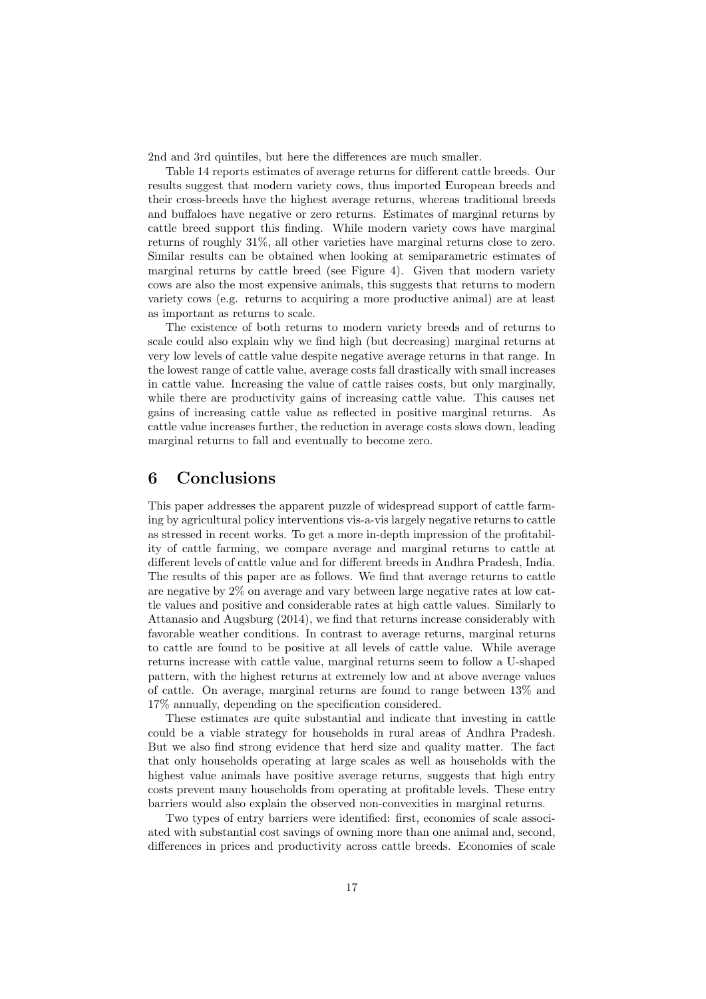2nd and 3rd quintiles, but here the differences are much smaller.

Table 14 reports estimates of average returns for different cattle breeds. Our results suggest that modern variety cows, thus imported European breeds and their cross-breeds have the highest average returns, whereas traditional breeds and buffaloes have negative or zero returns. Estimates of marginal returns by cattle breed support this finding. While modern variety cows have marginal returns of roughly 31%, all other varieties have marginal returns close to zero. Similar results can be obtained when looking at semiparametric estimates of marginal returns by cattle breed (see Figure 4). Given that modern variety cows are also the most expensive animals, this suggests that returns to modern variety cows (e.g. returns to acquiring a more productive animal) are at least as important as returns to scale.

The existence of both returns to modern variety breeds and of returns to scale could also explain why we find high (but decreasing) marginal returns at very low levels of cattle value despite negative average returns in that range. In the lowest range of cattle value, average costs fall drastically with small increases in cattle value. Increasing the value of cattle raises costs, but only marginally, while there are productivity gains of increasing cattle value. This causes net gains of increasing cattle value as reflected in positive marginal returns. As cattle value increases further, the reduction in average costs slows down, leading marginal returns to fall and eventually to become zero.

#### 6 Conclusions

This paper addresses the apparent puzzle of widespread support of cattle farming by agricultural policy interventions vis-a-vis largely negative returns to cattle as stressed in recent works. To get a more in-depth impression of the profitability of cattle farming, we compare average and marginal returns to cattle at different levels of cattle value and for different breeds in Andhra Pradesh, India. The results of this paper are as follows. We find that average returns to cattle are negative by 2% on average and vary between large negative rates at low cattle values and positive and considerable rates at high cattle values. Similarly to Attanasio and Augsburg (2014), we find that returns increase considerably with favorable weather conditions. In contrast to average returns, marginal returns to cattle are found to be positive at all levels of cattle value. While average returns increase with cattle value, marginal returns seem to follow a U-shaped pattern, with the highest returns at extremely low and at above average values of cattle. On average, marginal returns are found to range between 13% and 17% annually, depending on the specification considered.

These estimates are quite substantial and indicate that investing in cattle could be a viable strategy for households in rural areas of Andhra Pradesh. But we also find strong evidence that herd size and quality matter. The fact that only households operating at large scales as well as households with the highest value animals have positive average returns, suggests that high entry costs prevent many households from operating at profitable levels. These entry barriers would also explain the observed non-convexities in marginal returns.

Two types of entry barriers were identified: first, economies of scale associated with substantial cost savings of owning more than one animal and, second, differences in prices and productivity across cattle breeds. Economies of scale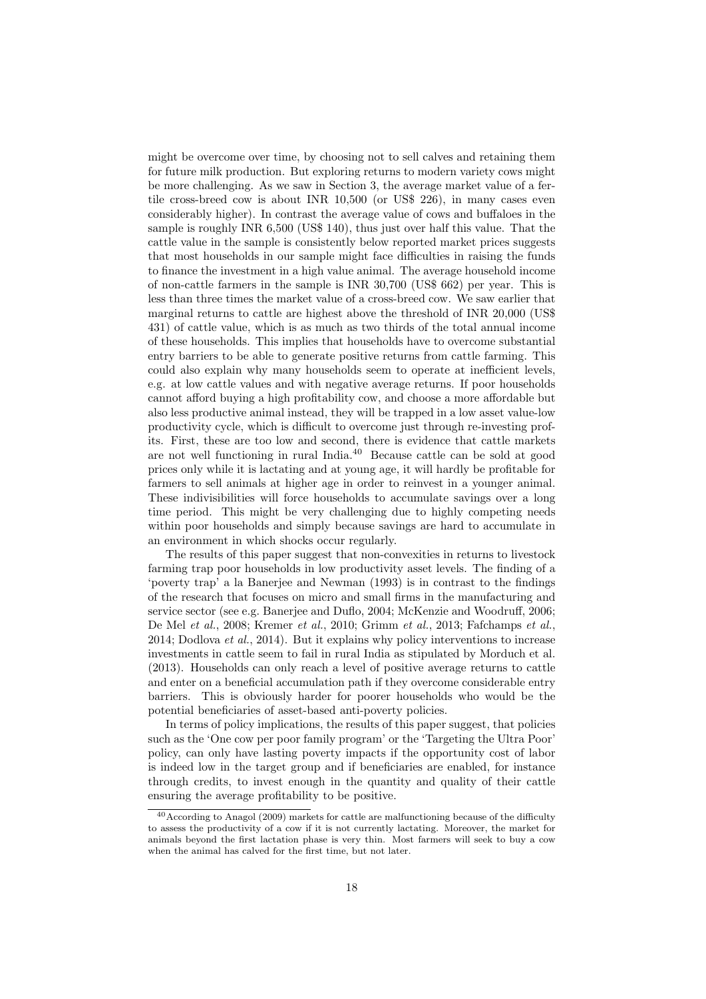might be overcome over time, by choosing not to sell calves and retaining them for future milk production. But exploring returns to modern variety cows might be more challenging. As we saw in Section 3, the average market value of a fertile cross-breed cow is about INR 10,500 (or US\$ 226), in many cases even considerably higher). In contrast the average value of cows and buffaloes in the sample is roughly INR 6,500 (US\$ 140), thus just over half this value. That the cattle value in the sample is consistently below reported market prices suggests that most households in our sample might face difficulties in raising the funds to finance the investment in a high value animal. The average household income of non-cattle farmers in the sample is INR 30,700 (US\$ 662) per year. This is less than three times the market value of a cross-breed cow. We saw earlier that marginal returns to cattle are highest above the threshold of INR 20,000 (US\$ 431) of cattle value, which is as much as two thirds of the total annual income of these households. This implies that households have to overcome substantial entry barriers to be able to generate positive returns from cattle farming. This could also explain why many households seem to operate at inefficient levels, e.g. at low cattle values and with negative average returns. If poor households cannot afford buying a high profitability cow, and choose a more affordable but also less productive animal instead, they will be trapped in a low asset value-low productivity cycle, which is difficult to overcome just through re-investing profits. First, these are too low and second, there is evidence that cattle markets are not well functioning in rural India.<sup>40</sup> Because cattle can be sold at good prices only while it is lactating and at young age, it will hardly be profitable for farmers to sell animals at higher age in order to reinvest in a younger animal. These indivisibilities will force households to accumulate savings over a long time period. This might be very challenging due to highly competing needs within poor households and simply because savings are hard to accumulate in an environment in which shocks occur regularly.

The results of this paper suggest that non-convexities in returns to livestock farming trap poor households in low productivity asset levels. The finding of a 'poverty trap' a la Banerjee and Newman (1993) is in contrast to the findings of the research that focuses on micro and small firms in the manufacturing and service sector (see e.g. Banerjee and Duflo, 2004; McKenzie and Woodruff, 2006; De Mel et al., 2008; Kremer et al., 2010; Grimm et al., 2013; Fafchamps et al., 2014; Dodlova *et al.*, 2014). But it explains why policy interventions to increase investments in cattle seem to fail in rural India as stipulated by Morduch et al. (2013). Households can only reach a level of positive average returns to cattle and enter on a beneficial accumulation path if they overcome considerable entry barriers. This is obviously harder for poorer households who would be the potential beneficiaries of asset-based anti-poverty policies.

In terms of policy implications, the results of this paper suggest, that policies such as the 'One cow per poor family program' or the 'Targeting the Ultra Poor' policy, can only have lasting poverty impacts if the opportunity cost of labor is indeed low in the target group and if beneficiaries are enabled, for instance through credits, to invest enough in the quantity and quality of their cattle ensuring the average profitability to be positive.

<sup>40</sup>According to Anagol (2009) markets for cattle are malfunctioning because of the difficulty to assess the productivity of a cow if it is not currently lactating. Moreover, the market for animals beyond the first lactation phase is very thin. Most farmers will seek to buy a cow when the animal has calved for the first time, but not later.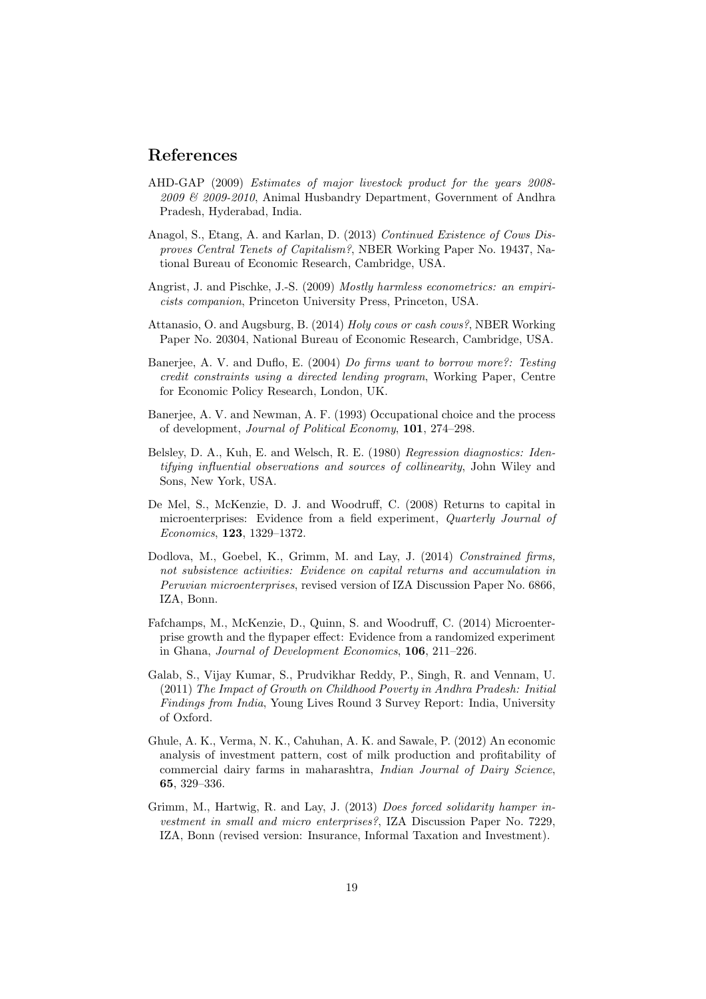#### References

- AHD-GAP (2009) Estimates of major livestock product for the years 2008- 2009 & 2009-2010, Animal Husbandry Department, Government of Andhra Pradesh, Hyderabad, India.
- Anagol, S., Etang, A. and Karlan, D. (2013) Continued Existence of Cows Disproves Central Tenets of Capitalism?, NBER Working Paper No. 19437, National Bureau of Economic Research, Cambridge, USA.
- Angrist, J. and Pischke, J.-S. (2009) Mostly harmless econometrics: an empiricists companion, Princeton University Press, Princeton, USA.
- Attanasio, O. and Augsburg, B. (2014) Holy cows or cash cows?, NBER Working Paper No. 20304, National Bureau of Economic Research, Cambridge, USA.
- Banerjee, A. V. and Duflo, E. (2004) Do firms want to borrow more?: Testing credit constraints using a directed lending program, Working Paper, Centre for Economic Policy Research, London, UK.
- Banerjee, A. V. and Newman, A. F. (1993) Occupational choice and the process of development, Journal of Political Economy, 101, 274–298.
- Belsley, D. A., Kuh, E. and Welsch, R. E. (1980) Regression diagnostics: Identifying influential observations and sources of collinearity, John Wiley and Sons, New York, USA.
- De Mel, S., McKenzie, D. J. and Woodruff, C. (2008) Returns to capital in microenterprises: Evidence from a field experiment, Quarterly Journal of Economics, 123, 1329–1372.
- Dodlova, M., Goebel, K., Grimm, M. and Lay, J. (2014) Constrained firms, not subsistence activities: Evidence on capital returns and accumulation in Peruvian microenterprises, revised version of IZA Discussion Paper No. 6866, IZA, Bonn.
- Fafchamps, M., McKenzie, D., Quinn, S. and Woodruff, C. (2014) Microenterprise growth and the flypaper effect: Evidence from a randomized experiment in Ghana, Journal of Development Economics, 106, 211–226.
- Galab, S., Vijay Kumar, S., Prudvikhar Reddy, P., Singh, R. and Vennam, U. (2011) The Impact of Growth on Childhood Poverty in Andhra Pradesh: Initial Findings from India, Young Lives Round 3 Survey Report: India, University of Oxford.
- Ghule, A. K., Verma, N. K., Cahuhan, A. K. and Sawale, P. (2012) An economic analysis of investment pattern, cost of milk production and profitability of commercial dairy farms in maharashtra, Indian Journal of Dairy Science, 65, 329–336.
- Grimm, M., Hartwig, R. and Lay, J. (2013) Does forced solidarity hamper investment in small and micro enterprises?, IZA Discussion Paper No. 7229, IZA, Bonn (revised version: Insurance, Informal Taxation and Investment).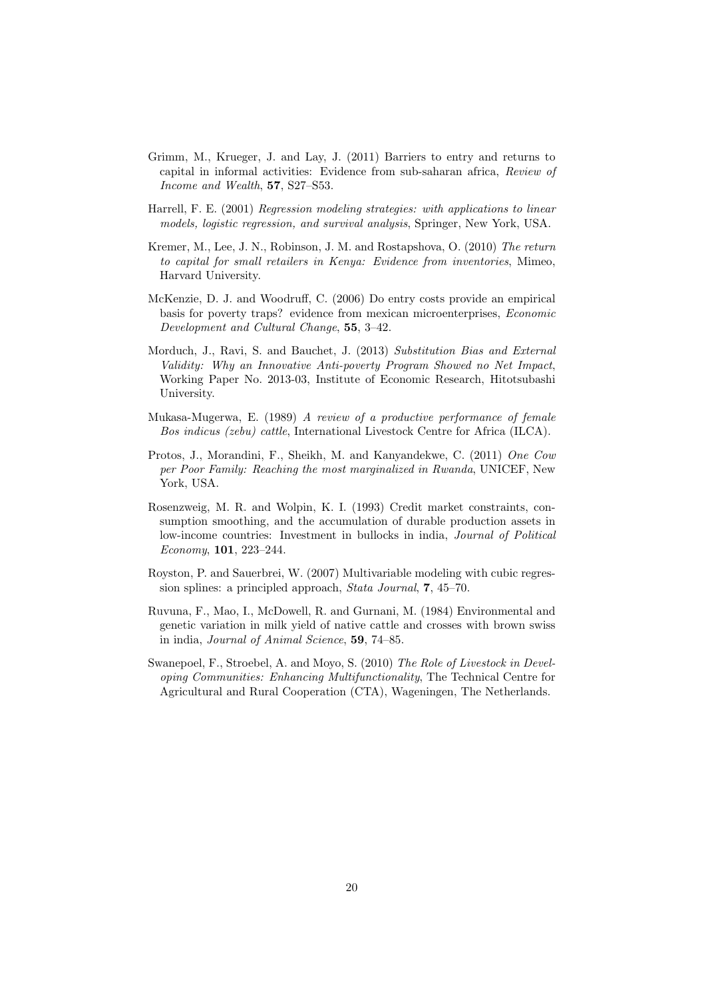- Grimm, M., Krueger, J. and Lay, J. (2011) Barriers to entry and returns to capital in informal activities: Evidence from sub-saharan africa, Review of Income and Wealth, 57, S27–S53.
- Harrell, F. E. (2001) Regression modeling strategies: with applications to linear models, logistic regression, and survival analysis, Springer, New York, USA.
- Kremer, M., Lee, J. N., Robinson, J. M. and Rostapshova, O. (2010) The return to capital for small retailers in Kenya: Evidence from inventories, Mimeo, Harvard University.
- McKenzie, D. J. and Woodruff, C. (2006) Do entry costs provide an empirical basis for poverty traps? evidence from mexican microenterprises, Economic Development and Cultural Change, 55, 3–42.
- Morduch, J., Ravi, S. and Bauchet, J. (2013) Substitution Bias and External Validity: Why an Innovative Anti-poverty Program Showed no Net Impact, Working Paper No. 2013-03, Institute of Economic Research, Hitotsubashi University.
- Mukasa-Mugerwa, E. (1989) A review of a productive performance of female Bos indicus (zebu) cattle, International Livestock Centre for Africa (ILCA).
- Protos, J., Morandini, F., Sheikh, M. and Kanyandekwe, C. (2011) One Cow per Poor Family: Reaching the most marginalized in Rwanda, UNICEF, New York, USA.
- Rosenzweig, M. R. and Wolpin, K. I. (1993) Credit market constraints, consumption smoothing, and the accumulation of durable production assets in low-income countries: Investment in bullocks in india, Journal of Political Economy, 101, 223–244.
- Royston, P. and Sauerbrei, W. (2007) Multivariable modeling with cubic regression splines: a principled approach, Stata Journal, 7, 45–70.
- Ruvuna, F., Mao, I., McDowell, R. and Gurnani, M. (1984) Environmental and genetic variation in milk yield of native cattle and crosses with brown swiss in india, Journal of Animal Science, 59, 74–85.
- Swanepoel, F., Stroebel, A. and Moyo, S. (2010) The Role of Livestock in Developing Communities: Enhancing Multifunctionality, The Technical Centre for Agricultural and Rural Cooperation (CTA), Wageningen, The Netherlands.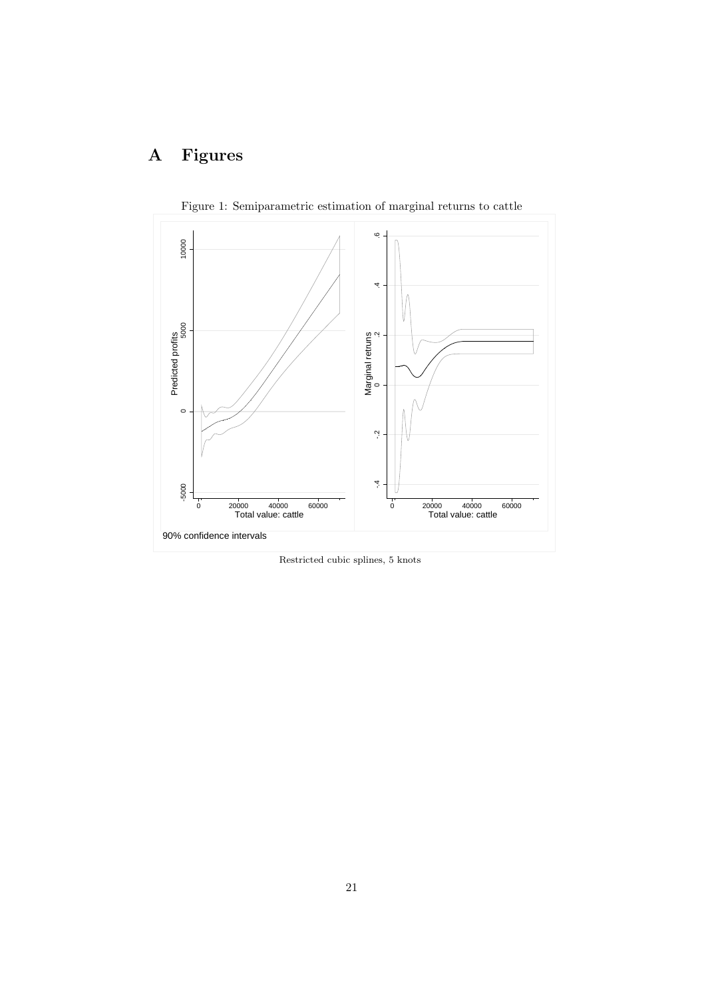## A Figures



Figure 1: Semiparametric estimation of marginal returns to cattle

Restricted cubic splines, 5 knots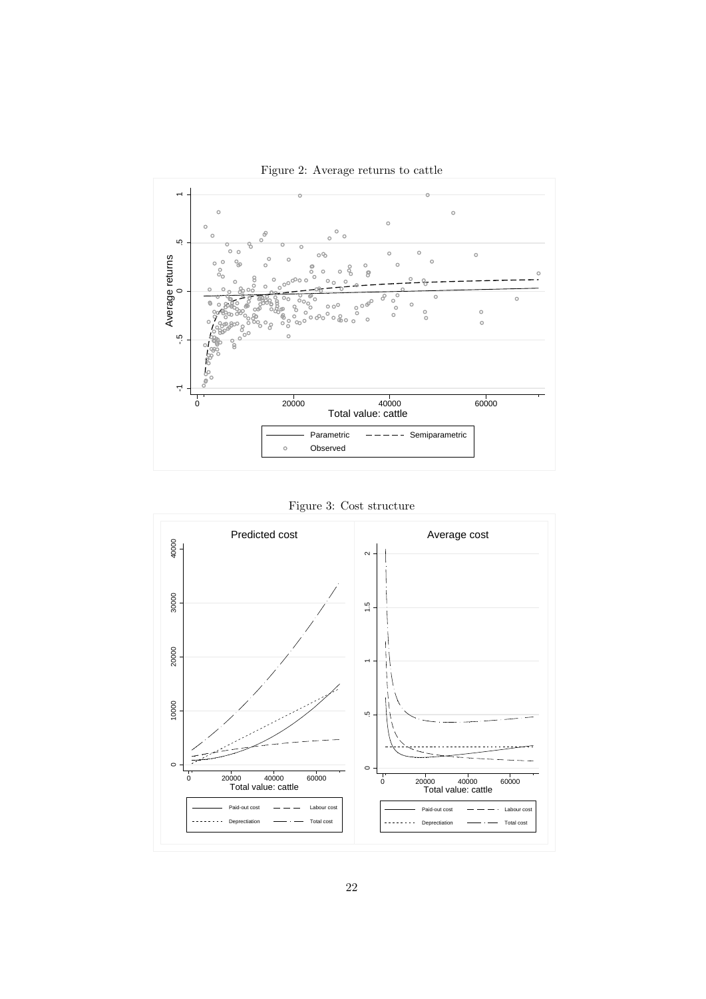

Figure 2: Average returns to cattle



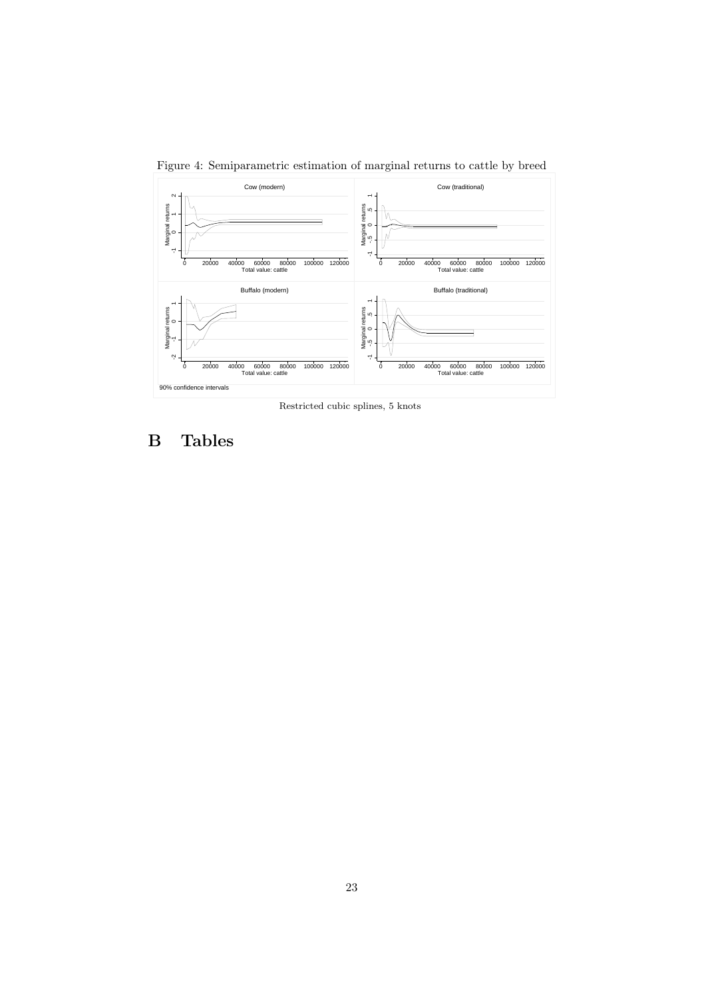

Figure 4: Semiparametric estimation of marginal returns to cattle by breed

Restricted cubic splines, 5 knots

## B Tables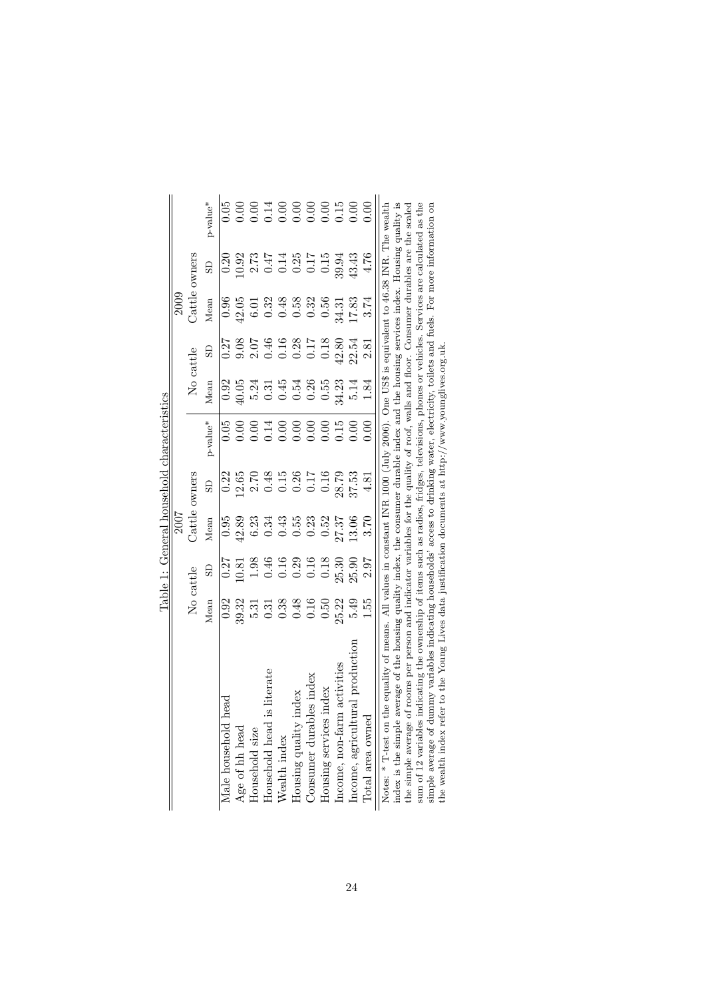|                                                                                                                                                                                                                                                                                    |                                                                                                                                                                                                                                     |                                                                                                                                                                                                                                                                                | 2007              |          | the Third II of Hollow Did The Theory of The Theory of The Theory of The Theory of The Theory of The Theory of The Theory of The Theory of The Theory of The Theory of The Theory of The Theory of The Theory of The Theory of |                                                               |                                                                                                                                                                                                                                                                                | 2009                                                                                                       |                                                                                                                                                                                                                                                                                                               |          |
|------------------------------------------------------------------------------------------------------------------------------------------------------------------------------------------------------------------------------------------------------------------------------------|-------------------------------------------------------------------------------------------------------------------------------------------------------------------------------------------------------------------------------------|--------------------------------------------------------------------------------------------------------------------------------------------------------------------------------------------------------------------------------------------------------------------------------|-------------------|----------|--------------------------------------------------------------------------------------------------------------------------------------------------------------------------------------------------------------------------------|---------------------------------------------------------------|--------------------------------------------------------------------------------------------------------------------------------------------------------------------------------------------------------------------------------------------------------------------------------|------------------------------------------------------------------------------------------------------------|---------------------------------------------------------------------------------------------------------------------------------------------------------------------------------------------------------------------------------------------------------------------------------------------------------------|----------|
|                                                                                                                                                                                                                                                                                    |                                                                                                                                                                                                                                     | $\rm No$ $\rm cattle$                                                                                                                                                                                                                                                          | Cattle $\epsilon$ | owners   |                                                                                                                                                                                                                                | $\rm No$ cattle                                               |                                                                                                                                                                                                                                                                                | Cattle                                                                                                     | owners                                                                                                                                                                                                                                                                                                        |          |
|                                                                                                                                                                                                                                                                                    | Mean                                                                                                                                                                                                                                | $\overline{S}$                                                                                                                                                                                                                                                                 | ${\it Mean}$      | <b>G</b> | p-value <sup>*</sup>                                                                                                                                                                                                           | $Mean$                                                        |                                                                                                                                                                                                                                                                                | Mean                                                                                                       | $\overline{a}$                                                                                                                                                                                                                                                                                                | p-value* |
| head<br>Male household                                                                                                                                                                                                                                                             |                                                                                                                                                                                                                                     |                                                                                                                                                                                                                                                                                |                   |          | 0.05                                                                                                                                                                                                                           |                                                               |                                                                                                                                                                                                                                                                                |                                                                                                            |                                                                                                                                                                                                                                                                                                               | 0.05     |
| Age of hh head                                                                                                                                                                                                                                                                     |                                                                                                                                                                                                                                     |                                                                                                                                                                                                                                                                                |                   |          |                                                                                                                                                                                                                                |                                                               |                                                                                                                                                                                                                                                                                |                                                                                                            |                                                                                                                                                                                                                                                                                                               |          |
| Household size                                                                                                                                                                                                                                                                     |                                                                                                                                                                                                                                     |                                                                                                                                                                                                                                                                                |                   |          |                                                                                                                                                                                                                                |                                                               |                                                                                                                                                                                                                                                                                |                                                                                                            |                                                                                                                                                                                                                                                                                                               |          |
| is literate<br>Household head                                                                                                                                                                                                                                                      |                                                                                                                                                                                                                                     |                                                                                                                                                                                                                                                                                |                   |          |                                                                                                                                                                                                                                |                                                               |                                                                                                                                                                                                                                                                                |                                                                                                            |                                                                                                                                                                                                                                                                                                               |          |
| Wealth index                                                                                                                                                                                                                                                                       | $0.928$<br>$0.327$<br>$0.337$<br>$0.337$<br>$0.337$<br>$0.337$<br>$0.337$<br>$0.337$<br>$0.337$<br>$0.337$<br>$0.337$<br>$0.337$<br>$0.337$<br>$0.337$<br>$0.337$<br>$0.337$<br>$0.337$<br>$0.337$<br>$0.337$<br>$0.337$<br>$0.337$ | $\begin{array}{cccc}\n0.27 & 0.21 & 0.21 & 0.21 & 0.21 & 0.21 & 0.21 & 0.21 & 0.21 & 0.21 & 0.21 & 0.21 & 0.21 & 0.21 & 0.21 & 0.21 & 0.21 & 0.21 & 0.21 & 0.21 & 0.21 & 0.21 & 0.21 & 0.21 & 0.21 & 0.21 & 0.21 & 0.21 & 0.21 & 0.21 & 0.21 & 0.21 & 0.21 & 0.21 & 0.21 & 0.$ |                   |          | 884888888888                                                                                                                                                                                                                   | 0<br>0 9 9 3 3 5 4 5 8 6 6 7 7 7 8<br>0 9 4 5 6 6 6 6 6 7 8 7 | $\begin{array}{cccc}\n 0.27 & 0.08 & 0.04 & 0.00 & 0.00 & 0.00 & 0.00 & 0.00 & 0.00 & 0.00 & 0.00 & 0.00 & 0.00 & 0.00 & 0.00 & 0.00 & 0.00 & 0.00 & 0.00 & 0.00 & 0.00 & 0.00 & 0.00 & 0.00 & 0.00 & 0.00 & 0.00 & 0.00 & 0.00 & 0.00 & 0.00 & 0.00 & 0.00 & 0.00 & 0.00 & 0$ |                                                                                                            | $\begin{array}{c} 0.20 \\ 0.91 \\ 0.91 \\ 0.47 \\ 0.47 \\ 0.01 \\ 0.01 \\ 0.01 \\ 0.01 \\ 0.01 \\ 0.01 \\ 0.01 \\ 0.01 \\ 0.01 \\ 0.01 \\ 0.01 \\ 0.01 \\ 0.01 \\ 0.01 \\ 0.01 \\ 0.01 \\ 0.01 \\ 0.01 \\ 0.01 \\ 0.01 \\ 0.01 \\ 0.01 \\ 0.01 \\ 0.01 \\ 0.01 \\ 0.01 \\ 0.01 \\ 0.01 \\ 0.01 \\ 0.01 \\ 0.$ |          |
| index<br>Housing quality                                                                                                                                                                                                                                                           |                                                                                                                                                                                                                                     |                                                                                                                                                                                                                                                                                |                   |          |                                                                                                                                                                                                                                |                                                               |                                                                                                                                                                                                                                                                                |                                                                                                            |                                                                                                                                                                                                                                                                                                               |          |
| Consumer durables index                                                                                                                                                                                                                                                            |                                                                                                                                                                                                                                     |                                                                                                                                                                                                                                                                                |                   |          |                                                                                                                                                                                                                                |                                                               |                                                                                                                                                                                                                                                                                |                                                                                                            |                                                                                                                                                                                                                                                                                                               |          |
| Housing services index                                                                                                                                                                                                                                                             |                                                                                                                                                                                                                                     |                                                                                                                                                                                                                                                                                |                   |          |                                                                                                                                                                                                                                |                                                               |                                                                                                                                                                                                                                                                                |                                                                                                            |                                                                                                                                                                                                                                                                                                               |          |
| Income, non-farm activities                                                                                                                                                                                                                                                        |                                                                                                                                                                                                                                     |                                                                                                                                                                                                                                                                                |                   |          |                                                                                                                                                                                                                                |                                                               |                                                                                                                                                                                                                                                                                |                                                                                                            |                                                                                                                                                                                                                                                                                                               |          |
| Income, agricultural production                                                                                                                                                                                                                                                    |                                                                                                                                                                                                                                     |                                                                                                                                                                                                                                                                                |                   |          |                                                                                                                                                                                                                                |                                                               |                                                                                                                                                                                                                                                                                |                                                                                                            |                                                                                                                                                                                                                                                                                                               |          |
| Total area owned                                                                                                                                                                                                                                                                   | 1.55                                                                                                                                                                                                                                |                                                                                                                                                                                                                                                                                |                   |          |                                                                                                                                                                                                                                |                                                               |                                                                                                                                                                                                                                                                                | $0.068$<br>$0.053$<br>$0.053$<br>$0.053$<br>$0.053$<br>$0.053$<br>$0.053$<br>$0.053$<br>$0.053$<br>$0.053$ |                                                                                                                                                                                                                                                                                                               |          |
| index is the simple average of the housing quality index the consumer durable index and the housing services index Housing quality is<br>the equality of means. All values in constant INR 1000 (July 2006). One US\$ is equivalent to 46.38 INR. The wealth<br>Notes: * T-test on |                                                                                                                                                                                                                                     |                                                                                                                                                                                                                                                                                |                   |          |                                                                                                                                                                                                                                |                                                               |                                                                                                                                                                                                                                                                                |                                                                                                            |                                                                                                                                                                                                                                                                                                               |          |

Table 1: General household characteristics Table 1: General household characteristics

index is the simple average of the housing quality index, the consumer durable index and the housing services index. Housing quality is the simple average of the housing quality index, the consumer durable index and the ho index is the simple average of the housing quality index, the consumer durable index and the housing services index. Housing quality is the simple average of rooms per person and indicator variables for the quality of roof, walls and floor. Consumer durables are the scaled sum of 12 variables indicating the ownership of items such as radios, fridges, televisions, phones or vehicles. Services are calculated as the simple average of dummy variables indicating households' access to drinking water, electricity, toilets and fuels. For more information on the wealth index refer to the Young Lives data justification documents at http://www.younglives.org.uk.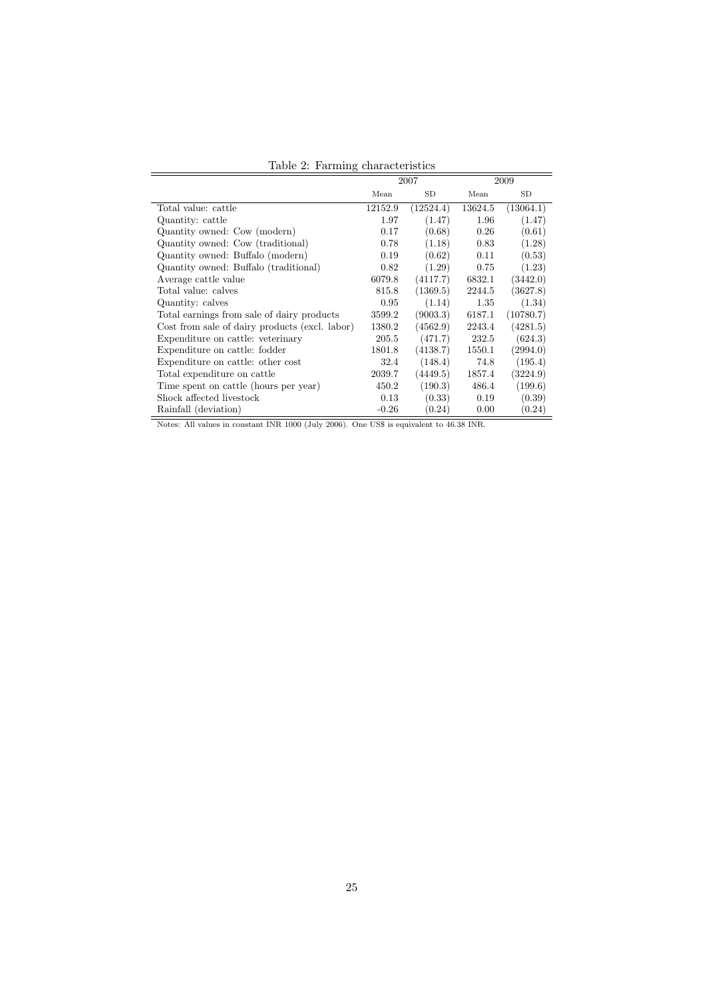| $1a$ <sub>0</sub> $\alpha$ . I allmig characteristics |         |           |         |           |
|-------------------------------------------------------|---------|-----------|---------|-----------|
|                                                       |         | 2007      |         | 2009      |
|                                                       | Mean    | <b>SD</b> | Mean    | SD        |
| Total value: cattle                                   | 12152.9 | (12524.4) | 13624.5 | (13064.1) |
| Quantity: cattle                                      | 1.97    | (1.47)    | 1.96    | (1.47)    |
| Quantity owned: Cow (modern)                          | 0.17    | (0.68)    | 0.26    | (0.61)    |
| Quantity owned: Cow (traditional)                     | 0.78    | (1.18)    | 0.83    | (1.28)    |
| Quantity owned: Buffalo (modern)                      | 0.19    | (0.62)    | 0.11    | (0.53)    |
| Quantity owned: Buffalo (traditional)                 | 0.82    | (1.29)    | 0.75    | (1.23)    |
| Average cattle value                                  | 6079.8  | (4117.7)  | 6832.1  | (3442.0)  |
| Total value: calves                                   | 815.8   | (1369.5)  | 2244.5  | (3627.8)  |
| Quantity: calves                                      | 0.95    | (1.14)    | 1.35    | (1.34)    |
| Total earnings from sale of dairy products            | 3599.2  | (9003.3)  | 6187.1  | (10780.7) |
| Cost from sale of dairy products (excl. labor)        | 1380.2  | (4562.9)  | 2243.4  | (4281.5)  |
| Expenditure on cattle: veterinary                     | 205.5   | (471.7)   | 232.5   | (624.3)   |
| Expenditure on cattle: fodder                         | 1801.8  | (4138.7)  | 1550.1  | (2994.0)  |
| Expenditure on cattle: other cost                     | 32.4    | (148.4)   | 74.8    | (195.4)   |
| Total expenditure on cattle                           | 2039.7  | (4449.5)  | 1857.4  | (3224.9)  |
| Time spent on cattle (hours per year)                 | 450.2   | (190.3)   | 486.4   | (199.6)   |
| Shock affected livestock                              | 0.13    | (0.33)    | 0.19    | (0.39)    |
| Rainfall (deviation)                                  | $-0.26$ | (0.24)    | 0.00    | (0.24)    |

Table 2: Farming characteristics

Notes: All values in constant INR 1000 (July 2006). One US\$ is equivalent to 46.38 INR.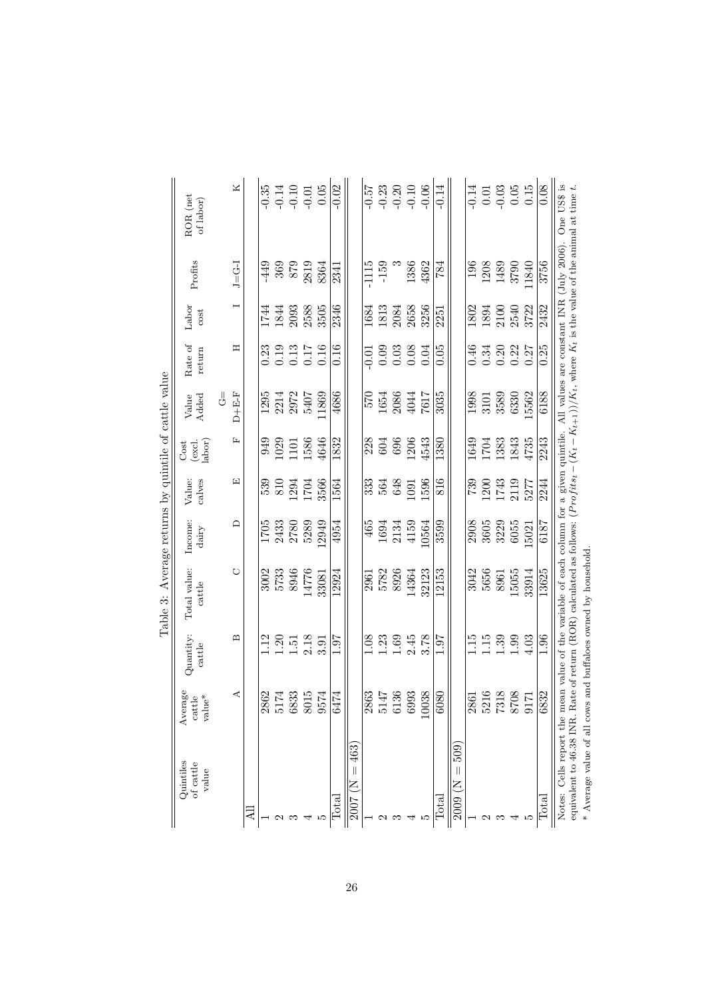|                                                                                                                                                                          |                                                              |                     | Table 3: Average returns by quintile of cattle value                                                                                |                                         |                  |                          |                               |                            |               |                   |                                                              |
|--------------------------------------------------------------------------------------------------------------------------------------------------------------------------|--------------------------------------------------------------|---------------------|-------------------------------------------------------------------------------------------------------------------------------------|-----------------------------------------|------------------|--------------------------|-------------------------------|----------------------------|---------------|-------------------|--------------------------------------------------------------|
| Quintiles<br>of cattle<br>value                                                                                                                                          | Average<br>$\ensuremath{\mathrm{value}}^*$<br>${\rm cattle}$ | Quantity:<br>cattle | Total value:<br>cattice                                                                                                             | Income:<br>$\mbox{d}\mbox{air}\mbox{y}$ | calves<br>Value: | labor)<br>(excl.<br>Cost | Value<br>Added                | Rate of<br>return          | Labor<br>cost | Profits           | ROR (net<br>of labor)                                        |
|                                                                                                                                                                          |                                                              |                     |                                                                                                                                     |                                         |                  |                          | $\stackrel{\parallel}{\circ}$ |                            |               |                   |                                                              |
|                                                                                                                                                                          | ⋖                                                            | മ                   | O                                                                                                                                   | $\Box$                                  | 囗                | ſı,                      | $D + E - F$                   | Ξ                          |               | $J=$ $G-1$        | Χ                                                            |
| ₫                                                                                                                                                                        |                                                              |                     |                                                                                                                                     |                                         |                  |                          |                               |                            |               |                   |                                                              |
|                                                                                                                                                                          | 2862                                                         | $\frac{12}{1}$      | 3002                                                                                                                                | 1705                                    | 539              | 949                      | 1295                          | 0.23                       | 1744          | -449              | $-0.35$                                                      |
|                                                                                                                                                                          | 5174                                                         | 1.20                | 5733                                                                                                                                | 2433                                    | 810              | 1029                     |                               | 0.19                       | 1844          |                   |                                                              |
|                                                                                                                                                                          | 6833                                                         | $1.51\,$            | 8946                                                                                                                                | 2780                                    | .294             |                          | $2214$<br>$2972$              | $\!0.13$                   | 2093          | $\frac{369}{879}$ | $-0.14$<br>$-0.10$<br>$-0.01$                                |
|                                                                                                                                                                          | 8015                                                         | 2.18                | 14776                                                                                                                               | 5289                                    | 1704             | 1101<br>1586             | 5407                          | 0.17                       | 2588          |                   |                                                              |
| IJ                                                                                                                                                                       | 9574                                                         | 3.91                | 33081                                                                                                                               | .2949                                   | 3566             | 4646                     | 1869                          | 0.16                       | 3505          | 8364              | $0.05$                                                       |
| $_{\rm Total}$                                                                                                                                                           | 6474                                                         | 1.61                | 12924                                                                                                                               | 4954                                    | 1564             | 1832                     | 4686                          | 0.16                       | 2346          | 2341              | $-0.02$                                                      |
| 463<br>2007                                                                                                                                                              |                                                              |                     |                                                                                                                                     |                                         |                  |                          |                               |                            |               |                   |                                                              |
|                                                                                                                                                                          | 2863                                                         | 0.1                 | 2961                                                                                                                                | 465                                     | 333              | 228                      | 570                           | $-0.01$                    | 1684          | $-1115$           | $-0.57$                                                      |
| $\mathcal{C}$                                                                                                                                                            | 5147                                                         | 1.23                | 5782                                                                                                                                | 1694                                    | 564              | 604                      | 1654                          |                            | 1813          | $-159$            | $-0.23$                                                      |
| ಌ                                                                                                                                                                        | 6136                                                         | 1.69                | 8926                                                                                                                                | 2134                                    | 648              | 696                      | 2086                          |                            | 2084          |                   | $-0.20$                                                      |
| ₹                                                                                                                                                                        | 5993                                                         | 2.45                | 14364                                                                                                                               | 4159                                    | 1091             | 1206                     | 4044                          | $0.03$<br>$0.03$<br>$0.08$ | 2658          | 1386              | $-0.10$                                                      |
| J,                                                                                                                                                                       | 038                                                          | 3.78                | 32123                                                                                                                               | 0564                                    | 1596             | 4543                     | 7617                          | 0.04                       | 3256          | 4362              | $-0.06$                                                      |
| $_{\rm Total}$                                                                                                                                                           | 080                                                          | 1.97                | 12153                                                                                                                               | 3599                                    | 816              | 1380                     | 3035                          | 0.05                       | 2251          | 784               | $-0.14$                                                      |
| 509<br>E<br>2009                                                                                                                                                         |                                                              |                     |                                                                                                                                     |                                         |                  |                          |                               |                            |               |                   |                                                              |
|                                                                                                                                                                          | 2861                                                         | 1.15                | 3042                                                                                                                                | 2908                                    | 739              | 1649                     | 1998                          | 0.46                       | 1802          | 196               | $-0.14$                                                      |
| N                                                                                                                                                                        | 5216                                                         | 1.15                | 5656                                                                                                                                | 3605                                    | 1200             | 1704                     | 3101                          | 0.34                       | 1894          | 1208              |                                                              |
| ొ                                                                                                                                                                        | 7318                                                         | 1.39                | 8961                                                                                                                                | 3229                                    | 1743             | 1383                     | 3589                          | 0.20                       | 2100          | 1489              | $\begin{array}{c} 0.01 \\ -0.03 \\ 0.05 \\ 0.15 \end{array}$ |
| 4                                                                                                                                                                        | 8708                                                         | 1.99                | 15055                                                                                                                               | 6055                                    | 2119             | 1843                     | 6330                          | 0.22                       | 2540          | 3790              |                                                              |
| J,                                                                                                                                                                       | <b>EZI6</b>                                                  | 4.03                | 33914                                                                                                                               | 5021                                    | 5277             | 4735                     | 5562                          | 0.27                       | 3722          | 11840             |                                                              |
| $_{\rm{total}}$                                                                                                                                                          | 6832                                                         | 1.96                | 13625                                                                                                                               | 6187                                    | 2244             | 2243                     | 6188                          | 0.25                       | 2432          | 3756              | 0.08                                                         |
| Notes: Cells report the mean value of the variable of each column for a given quintile. All values are constant INR (July 2006). One US\$ is<br>equivalent to 46.38 INR. |                                                              |                     | Rate of return (ROR) calculated as follows: $(Profits_t - (K_t - K_{t+1}))/K_t$ , where $K_t$ is the value of the animal at time t. |                                         |                  |                          |                               |                            |               |                   |                                                              |
| * Average value of all cows and buffaloes owned by household.                                                                                                            |                                                              |                     |                                                                                                                                     |                                         |                  |                          |                               |                            |               |                   |                                                              |
|                                                                                                                                                                          |                                                              |                     |                                                                                                                                     |                                         |                  |                          |                               |                            |               |                   |                                                              |

26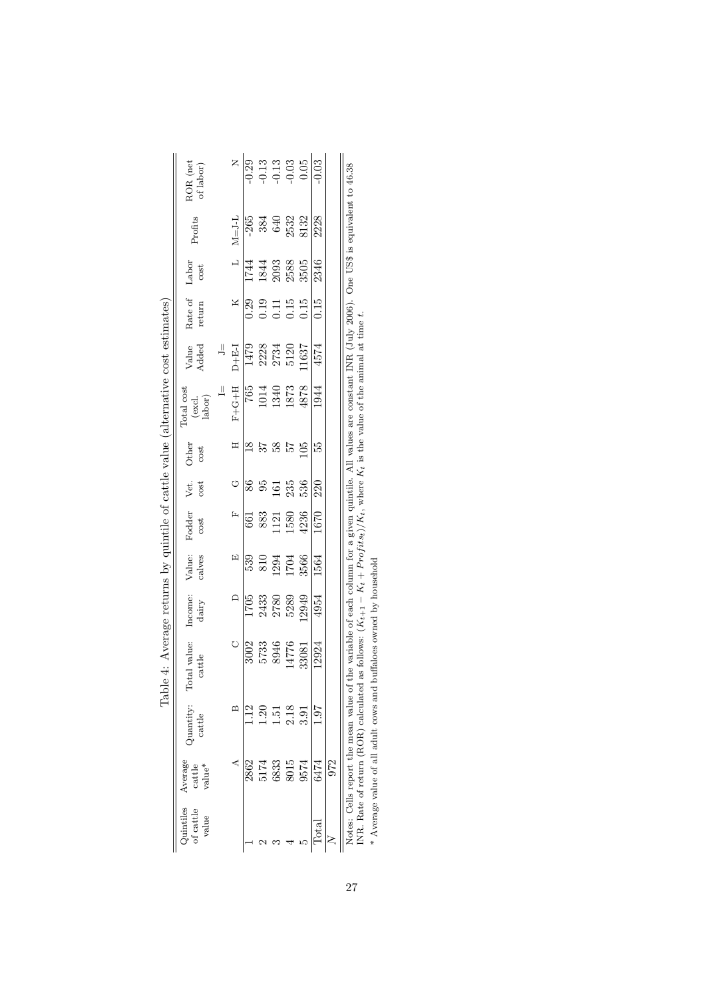|                                                                                                                                                                                                                                | $\begin{array}{c} \text{ROR (net} \\ \text{of labor)} \end{array}$                  |               |                                                |                 |                   |            |                                                                                                                                                                                                                                                                                                               | $\begin{array}{c c} \mathbf{z} & \mathbf{a} & \mathbf{b} \\ \hline 0.29 & 0.71 & 0.05 \\ \hline 0.0 & 0.05 & 0.05 \\ \hline \end{array}$ |                 |     |                                                                                                                                                                                                                                                                                  |
|--------------------------------------------------------------------------------------------------------------------------------------------------------------------------------------------------------------------------------|-------------------------------------------------------------------------------------|---------------|------------------------------------------------|-----------------|-------------------|------------|---------------------------------------------------------------------------------------------------------------------------------------------------------------------------------------------------------------------------------------------------------------------------------------------------------------|------------------------------------------------------------------------------------------------------------------------------------------|-----------------|-----|----------------------------------------------------------------------------------------------------------------------------------------------------------------------------------------------------------------------------------------------------------------------------------|
|                                                                                                                                                                                                                                | Profits                                                                             |               | $\mathbf{M} \mathbf{=} \mathbf{J} \mathbf{-L}$ |                 |                   |            | $-265$<br>384<br>540<br>5432<br>5132                                                                                                                                                                                                                                                                          |                                                                                                                                          | 2228            |     | $\sim$ 1.1 $\sim$ 1.1 $\sim$ 1.1 $\sim$ 1.1 $\sim$ 0.000 $\sim$ 0.1 $\sim$ 0.1 $\sim$ 0.1 $\sim$ 1.1 $\sim$ 1.1 $\sim$ 1.1 $\sim$ 1.1 $\sim$ 1.1 $\sim$ 1.1 $\sim$ 1.1 $\sim$ 1.1 $\sim$ 1.1 $\sim$ 1.1 $\sim$ 1.1 $\sim$ 1.1 $\sim$ 1.1 $\sim$ 1.1 $\sim$ 1.1 $\sim$ 1.1 $\sim$ |
|                                                                                                                                                                                                                                | ${\rm Labor}\atop{\rm cost}$                                                        |               |                                                |                 |                   |            |                                                                                                                                                                                                                                                                                                               |                                                                                                                                          | 2346            |     |                                                                                                                                                                                                                                                                                  |
|                                                                                                                                                                                                                                | Rate of<br>return                                                                   |               | X                                              |                 |                   |            | $\begin{array}{c} 29 \\ 0.39 \\ 0.11 \\ 0.15 \\ 0.15 \\ 0.19 \\ 0.19 \\ 0.19 \\ 0.19 \\ 0.19 \\ 0.19 \\ 0.19 \\ 0.19 \\ 0.19 \\ 0.19 \\ 0.19 \\ 0.19 \\ 0.19 \\ 0.19 \\ 0.19 \\ 0.19 \\ 0.19 \\ 0.19 \\ 0.19 \\ 0.19 \\ 0.19 \\ 0.19 \\ 0.19 \\ 0.19 \\ 0.19 \\ 0.19 \\ 0.19 \\ 0.19 \\ 0.19 \\ 0.19 \\ 0.19$ |                                                                                                                                          | 0.15            |     |                                                                                                                                                                                                                                                                                  |
|                                                                                                                                                                                                                                | Value<br>Added                                                                      | $\equiv$      |                                                |                 |                   |            | $\frac{\text{D} + \text{E-I}}{1479}$ 2228<br>2734<br>2734<br>5120<br>11637                                                                                                                                                                                                                                    |                                                                                                                                          | 4574            |     |                                                                                                                                                                                                                                                                                  |
|                                                                                                                                                                                                                                | $\fbox{Total cost} \\ \begin{array}{c} {\rm (excl.} \\ {\rm labor)} \\ \end{array}$ | $\frac{1}{2}$ |                                                |                 |                   |            | $\begin{array}{r} 8287 \\ 1014 \\ 1014 \\ 1340 \\ 1873 \\ 1873 \\ \end{array}$                                                                                                                                                                                                                                |                                                                                                                                          | 1944            |     |                                                                                                                                                                                                                                                                                  |
|                                                                                                                                                                                                                                | Other $\cos t$                                                                      |               | $\Xi$                                          | $\overline{18}$ | $3\,^\circ\,8$ 57 |            |                                                                                                                                                                                                                                                                                                               | 105                                                                                                                                      | 55              |     |                                                                                                                                                                                                                                                                                  |
|                                                                                                                                                                                                                                | Vet.<br>cost                                                                        |               | U                                              | $8\!\!6$        | 95                | 161<br>235 |                                                                                                                                                                                                                                                                                                               | 536                                                                                                                                      | 220             |     |                                                                                                                                                                                                                                                                                  |
|                                                                                                                                                                                                                                | Fodder<br>cost                                                                      |               | $\boxed{\mathbf{r}}$                           |                 |                   |            | $\begin{array}{c} 661 \\ 883 \\ 1121 \\ 1580 \\ 1580 \\ 4236 \end{array}$                                                                                                                                                                                                                                     |                                                                                                                                          | 1670            |     |                                                                                                                                                                                                                                                                                  |
|                                                                                                                                                                                                                                | Value:<br>calves                                                                    |               | $\mathbb{E}$                                   |                 |                   |            | 539<br>810<br>1294<br>1704<br>3566                                                                                                                                                                                                                                                                            |                                                                                                                                          | 1564            |     |                                                                                                                                                                                                                                                                                  |
|                                                                                                                                                                                                                                | $\fbox{Income:} \\ {\rm dairy}$                                                     |               |                                                |                 |                   |            | $\begin{array}{c}\n 1 \\  \hline\n 1705 \\  2433 \\  2780 \\  5949 \\  129\n \end{array}$                                                                                                                                                                                                                     |                                                                                                                                          | 4954            |     |                                                                                                                                                                                                                                                                                  |
| Community of the contract of the structure of the structure of the structure of the structure of the structure of the structure of the structure of the structure of the structure of the structure of the structure of the st | Total value:<br>cattle                                                              |               |                                                |                 |                   |            | $\begin{array}{r} 3002 \ 3033 \ 5733 \ 8946 \ 14776 \ 33081 \end{array}$                                                                                                                                                                                                                                      |                                                                                                                                          | 12924           |     |                                                                                                                                                                                                                                                                                  |
|                                                                                                                                                                                                                                | Quantity:<br>cattle                                                                 |               | $\mathbf{r}$                                   |                 |                   |            | $1.51$<br>$1.51$<br>$2.18$<br>$3.91$                                                                                                                                                                                                                                                                          |                                                                                                                                          |                 |     |                                                                                                                                                                                                                                                                                  |
|                                                                                                                                                                                                                                | $\operatorname{cattle}\atop\operatorname{value}^*$                                  |               |                                                |                 |                   |            | 2862<br>5174<br>6833<br>9574                                                                                                                                                                                                                                                                                  |                                                                                                                                          | 6474            | 972 |                                                                                                                                                                                                                                                                                  |
|                                                                                                                                                                                                                                | Quintiles Average<br>of cattle<br>value                                             |               |                                                |                 |                   |            |                                                                                                                                                                                                                                                                                                               |                                                                                                                                          | $_{\rm{total}}$ |     |                                                                                                                                                                                                                                                                                  |

| $-22$                                                                                                                                                                                                                                                |  |
|------------------------------------------------------------------------------------------------------------------------------------------------------------------------------------------------------------------------------------------------------|--|
| j                                                                                                                                                                                                                                                    |  |
|                                                                                                                                                                                                                                                      |  |
|                                                                                                                                                                                                                                                      |  |
| - 2114.                                                                                                                                                                                                                                              |  |
|                                                                                                                                                                                                                                                      |  |
| ジュン                                                                                                                                                                                                                                                  |  |
| A score more setting of the state of the state in a lower score of the correct of the correct of the correct of the correct of the correct of the correct of the correct of the correct of the correct of the correct of the c<br>$\frac{3}{2}$<br>í |  |
|                                                                                                                                                                                                                                                      |  |
| $\frac{1}{2}$<br>i                                                                                                                                                                                                                                   |  |
| <br> <br> <br>                                                                                                                                                                                                                                       |  |
| Lable 4.<br>$\overline{a}$<br>-<br> <br>                                                                                                                                                                                                             |  |

Notes: Cells report the mean value of the variable of each column for a given quintile. All values are constant INR (July 2006). One US\$ is equivalent to 46.38 INR. Rate of return (ROR) calculated as follows: (  $K_{t+1}$ − $K_t + Profits_t)/K_t$ , where  $K_t$  is the value of the animal at time t.

 $\ast$  Average value of all adult cows and buffaloes owned by household \* Average value of all adult cows and buffaloes owned by household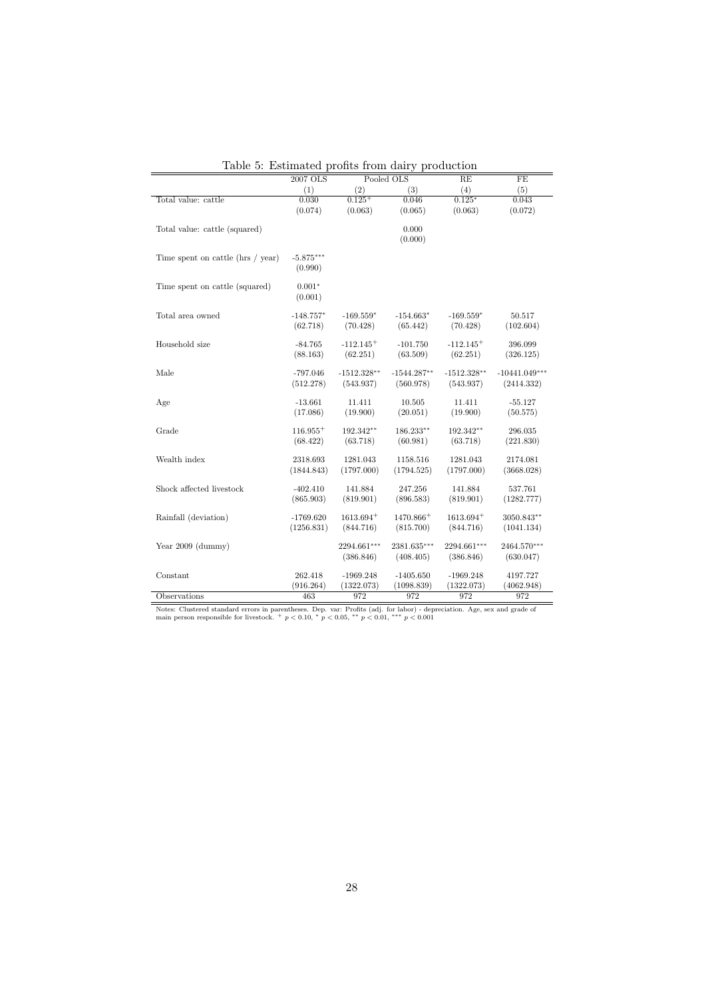| rabic of Estimated promos from dairy | 2007 OLS               |                          | Pooled OLS               | programm<br>RE           | FE                       |
|--------------------------------------|------------------------|--------------------------|--------------------------|--------------------------|--------------------------|
|                                      | (1)                    | (2)                      | (3)                      | (4)                      | (5)                      |
| Total value: cattle                  | 0.030                  | $0.125+$                 | 0.046                    | $0.125*$                 | 0.043                    |
|                                      | (0.074)                | (0.063)                  | (0.065)                  | (0.063)                  | (0.072)                  |
| Total value: cattle (squared)        |                        |                          | 0.000<br>(0.000)         |                          |                          |
| Time spent on cattle (hrs / year)    | $-5.875***$<br>(0.990) |                          |                          |                          |                          |
| Time spent on cattle (squared)       | $0.001*$<br>(0.001)    |                          |                          |                          |                          |
| Total area owned                     | $-148.757*$            | $-169.559*$              | $-154.663*$              | $-169.559*$              | 50.517                   |
|                                      | (62.718)               | (70.428)                 | (65.442)                 | (70.428)                 | (102.604)                |
| Household size                       | $-84.765$              | $-112.145+$              | $-101.750$               | $-112.145+$              | 396.099                  |
|                                      | (88.163)               | (62.251)                 | (63.509)                 | (62.251)                 | (326.125)                |
| Male                                 | $-797.046$             | $-1512.328**$            | $-1544.287**$            | $-1512.328**$            | $-10441.049***$          |
|                                      | (512.278)              | (543.937)                | (560.978)                | (543.937)                | (2414.332)               |
| Age                                  | $-13.661$              | 11.411                   | 10.505                   | 11.411                   | $-55.127$                |
|                                      | (17.086)               | (19.900)                 | (20.051)                 | (19.900)                 | (50.575)                 |
| Grade                                | $116.955+$             | 192.342**                | 186.233**                | 192.342**                | 296.035                  |
|                                      | (68.422)               | (63.718)                 | (60.981)                 | (63.718)                 | (221.830)                |
| Wealth index                         | 2318.693               | 1281.043                 | 1158.516                 | 1281.043                 | 2174.081                 |
|                                      | (1844.843)             | (1797.000)               | (1794.525)               | (1797.000)               | (3668.028)               |
| Shock affected livestock             | $-402.410$             | 141.884                  | 247.256                  | 141.884                  | 537.761                  |
|                                      | (865.903)              | (819.901)                | (896.583)                | (819.901)                | (1282.777)               |
| Rainfall (deviation)                 | $-1769.620$            | $1613.694+$              | 1470.866 <sup>+</sup>    | $1613.694+$              | 3050.843**               |
|                                      | (1256.831)             | (844.716)                | (815.700)                | (844.716)                | (1041.134)               |
| Year $2009$ (dummy)                  |                        | 2294.661***<br>(386.846) | 2381.635***<br>(408.405) | 2294.661***<br>(386.846) | 2464.570***<br>(630.047) |
| Constant                             | 262.418                | $-1969.248$              | $-1405.650$              | $-1969.248$              | 4197.727                 |
|                                      | (916.264)              | (1322.073)               | (1098.839)               | (1322.073)               | (4062.948)               |
| Observations                         | 463                    | 972                      | 972                      | 972                      | 972                      |

Table 5: Estimated profits from dairy production

Notes: Clustered standard errors in parentheses. Dep. var: Profits (adj. for labor) - depreciation. Age, sex and grade of main person responsible for livestock. +  $p < 0.10$ , \*  $p < 0.05$ , \*\*  $p < 0.01$ , \*\*  $p < 0.001$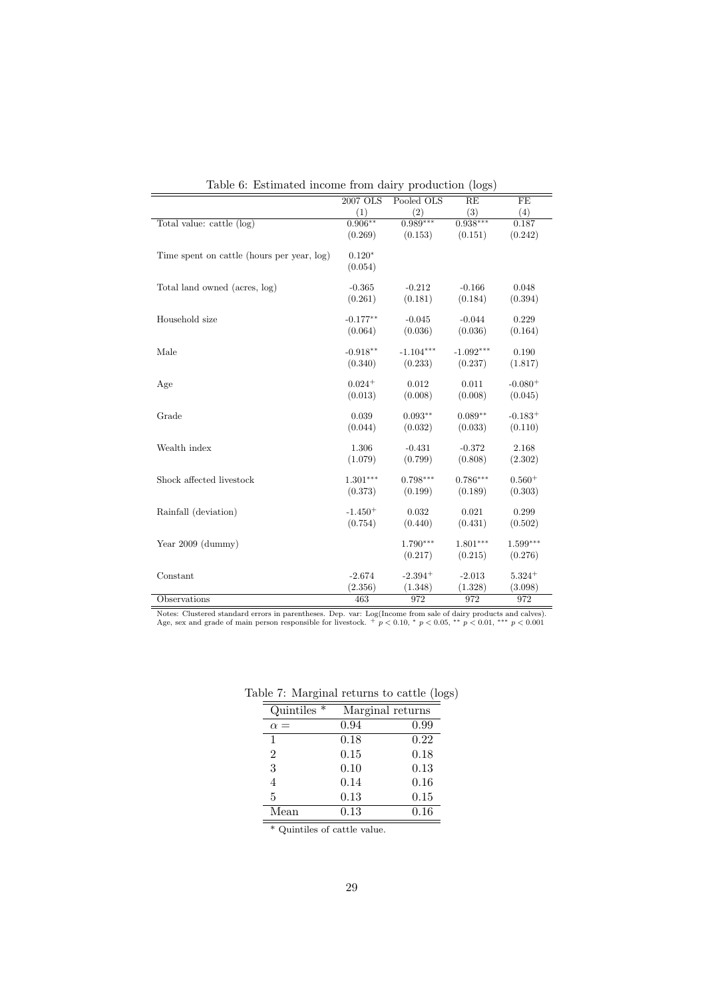|                                            |            |             | $(20 - 9)$  |            |
|--------------------------------------------|------------|-------------|-------------|------------|
|                                            | 2007 OLS   | Pooled OLS  | RE          | FE         |
|                                            | (1)        | (2)         | (3)         | (4)        |
| Total value: cattle (log)                  | $0.906***$ | $0.989***$  | $0.938***$  | 0.187      |
|                                            | (0.269)    | (0.153)     | (0.151)     | (0.242)    |
|                                            |            |             |             |            |
| Time spent on cattle (hours per year, log) | $0.120*$   |             |             |            |
|                                            | (0.054)    |             |             |            |
|                                            |            |             |             |            |
| Total land owned (acres, log)              | $-0.365$   | $-0.212$    | $-0.166$    | 0.048      |
|                                            | (0.261)    | (0.181)     | (0.184)     | (0.394)    |
|                                            |            |             |             |            |
| Household size                             | $-0.177**$ | $-0.045$    | $-0.044$    | 0.229      |
|                                            | (0.064)    | (0.036)     | (0.036)     | (0.164)    |
|                                            |            |             |             |            |
| Male                                       | $-0.918**$ | $-1.104***$ | $-1.092***$ | 0.190      |
|                                            | (0.340)    | (0.233)     | (0.237)     | (1.817)    |
|                                            |            |             |             |            |
| Age                                        | $0.024+$   | 0.012       | 0.011       | $-0.080+$  |
|                                            | (0.013)    | (0.008)     | (0.008)     | (0.045)    |
|                                            |            |             |             |            |
| Grade                                      | 0.039      | $0.093**$   | $0.089**$   | $-0.183+$  |
|                                            | (0.044)    | (0.032)     | (0.033)     | (0.110)    |
|                                            |            |             |             |            |
| Wealth index                               | 1.306      | $-0.431$    | $-0.372$    | 2.168      |
|                                            | (1.079)    | (0.799)     | (0.808)     | (2.302)    |
|                                            |            |             |             |            |
| Shock affected livestock                   | $1.301***$ | $0.798***$  | $0.786***$  | $0.560+$   |
|                                            | (0.373)    | (0.199)     | (0.189)     | (0.303)    |
|                                            |            |             |             |            |
| Rainfall (deviation)                       | $-1.450+$  | 0.032       | 0.021       | 0.299      |
|                                            | (0.754)    | (0.440)     | (0.431)     | (0.502)    |
|                                            |            |             |             |            |
| Year $2009$ (dummy)                        |            | $1.790***$  | $1.801***$  | $1.599***$ |
|                                            |            | (0.217)     | (0.215)     | (0.276)    |
|                                            |            |             |             |            |
| Constant                                   | $-2.674$   | $-2.394+$   | $-2.013$    | $5.324+$   |
|                                            | (2.356)    | (1.348)     | (1.328)     | (3.098)    |
| Observations                               | 463        | 972         | 972         | 972        |
|                                            |            |             |             |            |

Table 6: Estimated income from dairy production (logs)

Notes: Clustered standard errors in parentheses. Dep. var: Log(Income from sale of dairy products and calves). Age, sex and grade of main person responsible for livestock. +  $p < 0.10$ , \*  $p < 0.05$ , \*\*  $p < 0.01$ , \*\*\*  $p < 0$ 

| Quintiles $*$   | Marginal returns |      |
|-----------------|------------------|------|
| $=$<br>$\alpha$ | 0.94             | 0.99 |
| 1               | 0.18             | 0.22 |
| $\overline{2}$  | 0.15             | 0.18 |
| 3               | 0.10             | 0.13 |
| 4               | 0.14             | 0.16 |
| 5               | 0.13             | 0.15 |
| Mean            | 0.13             | 0.16 |

Table 7: Marginal returns to cattle (logs)

\* Quintiles of cattle value.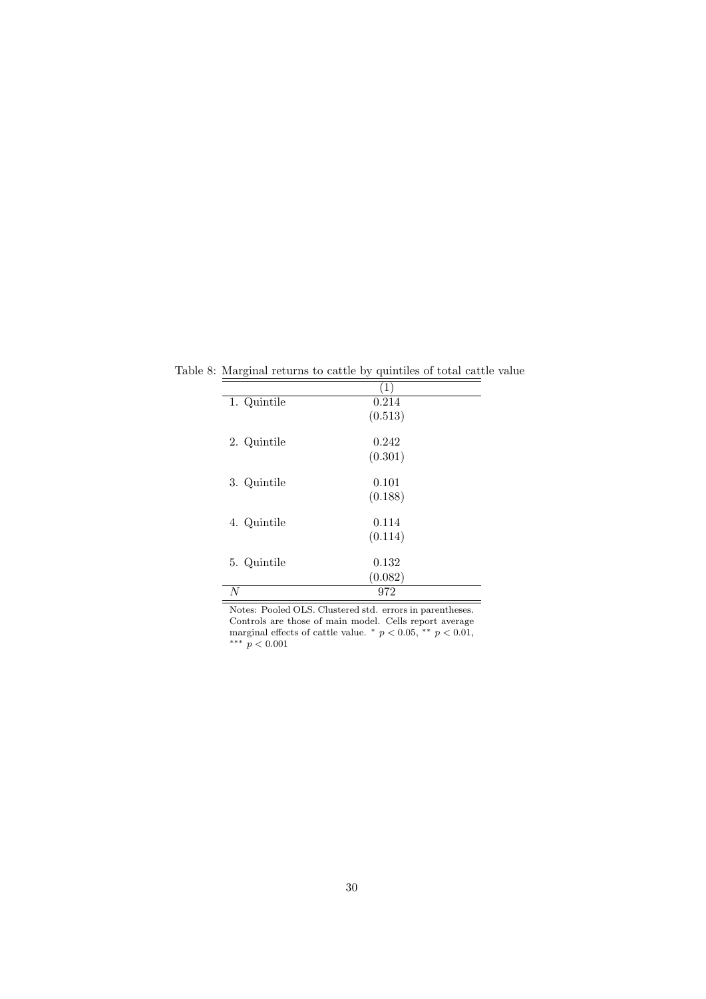| ပ           | $\left(1\right)$ |
|-------------|------------------|
| 1. Quintile | 0.214            |
|             | (0.513)          |
| 2. Quintile | 0.242            |
|             | (0.301)          |
| 3. Quintile | 0.101            |
|             | (0.188)          |
| 4. Quintile | 0.114            |
|             | (0.114)          |
| 5. Quintile | 0.132            |
|             | (0.082)          |
| N           | 972              |

Table 8: Marginal returns to cattle by quintiles of total cattle value

Notes: Pooled OLS. Clustered std. errors in parentheses. Controls are those of main model. Cells report average marginal effects of cattle value.  $p < 0.05$ , \*\*  $p < 0.01$ , ∗∗∗ p < 0.001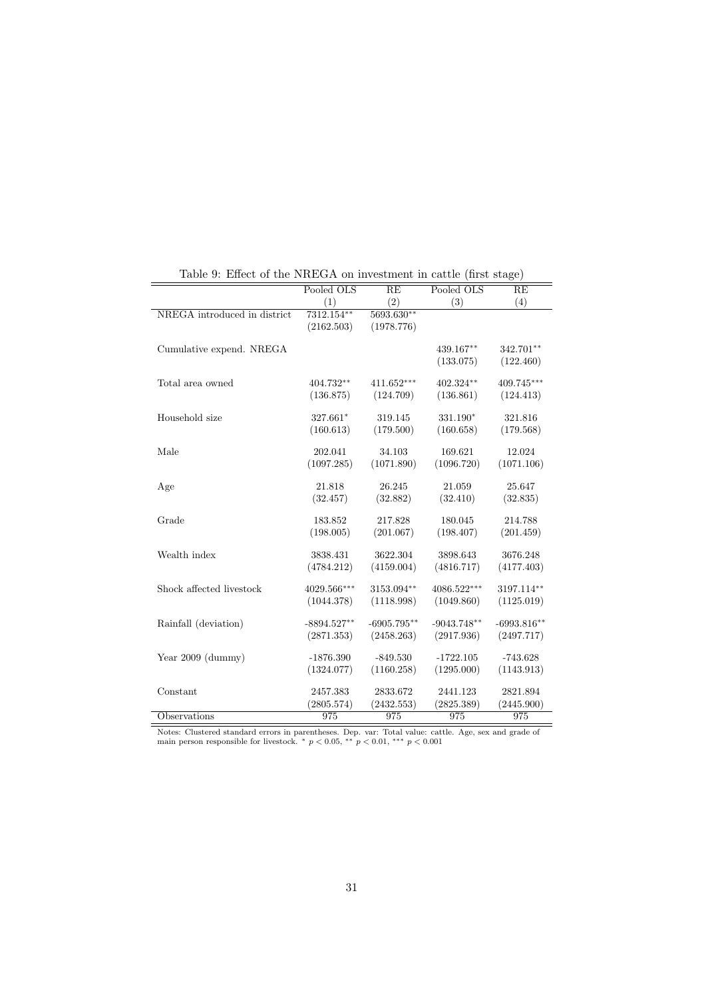|                              | Pooled OLS    | RE            | $\frac{1}{1000}$ . The state of the collection of the collection of $\frac{1}{1000}$<br>Pooled OLS | RE            |
|------------------------------|---------------|---------------|----------------------------------------------------------------------------------------------------|---------------|
|                              | (1)           | (2)           | (3)                                                                                                | (4)           |
| NREGA introduced in district | 7312.154**    | 5693.630**    |                                                                                                    |               |
|                              | (2162.503)    | (1978.776)    |                                                                                                    |               |
|                              |               |               |                                                                                                    |               |
| Cumulative expend. NREGA     |               |               | 439.167**                                                                                          | 342.701**     |
|                              |               |               | (133.075)                                                                                          | (122.460)     |
| Total area owned             | 404.732**     | $411.652***$  | $402.324**$                                                                                        | 409.745***    |
|                              | (136.875)     | (124.709)     | (136.861)                                                                                          | (124.413)     |
|                              |               |               |                                                                                                    |               |
| Household size               | 327.661*      | 319.145       | 331.190*                                                                                           | 321.816       |
|                              | (160.613)     | (179.500)     | (160.658)                                                                                          | (179.568)     |
|                              |               |               |                                                                                                    |               |
| Male                         | 202.041       | 34.103        | 169.621                                                                                            | 12.024        |
|                              | (1097.285)    | (1071.890)    | (1096.720)                                                                                         | (1071.106)    |
| Age                          | 21.818        | 26.245        | 21.059                                                                                             | 25.647        |
|                              | (32.457)      | (32.882)      | (32.410)                                                                                           | (32.835)      |
|                              |               |               |                                                                                                    |               |
| Grade                        | 183.852       | 217.828       | 180.045                                                                                            | 214.788       |
|                              | (198.005)     | (201.067)     | (198.407)                                                                                          | (201.459)     |
|                              |               |               |                                                                                                    |               |
| Wealth index                 | 3838.431      | 3622.304      | 3898.643                                                                                           | 3676.248      |
|                              | (4784.212)    | (4159.004)    | (4816.717)                                                                                         | (4177.403)    |
| Shock affected livestock     | 4029.566***   | 3153.094**    | 4086.522***                                                                                        | 3197.114**    |
|                              | (1044.378)    | (1118.998)    | (1049.860)                                                                                         | (1125.019)    |
|                              |               |               |                                                                                                    |               |
| Rainfall (deviation)         | $-8894.527**$ | $-6905.795**$ | $-9043.748**$                                                                                      | $-6993.816**$ |
|                              | (2871.353)    | (2458.263)    | (2917.936)                                                                                         | (2497.717)    |
|                              |               |               |                                                                                                    |               |
| Year $2009$ (dummy)          | $-1876.390$   | $-849.530$    | $-1722.105$                                                                                        | $-743.628$    |
|                              | (1324.077)    | (1160.258)    | (1295.000)                                                                                         | (1143.913)    |
|                              |               |               |                                                                                                    |               |
| Constant                     | 2457.383      | 2833.672      | 2441.123                                                                                           | 2821.894      |
|                              | (2805.574)    | (2432.553)    | (2825.389)                                                                                         | (2445.900)    |
| Observations                 | 975           | 975           | 975                                                                                                | 975           |

Table 9: Effect of the NREGA on investment in cattle (first stage)

Notes: Clustered standard errors in parentheses. Dep. var: Total value: cattle. Age, sex and grade of main person responsible for livestock. \*  $p < 0.05$ , \*\*  $p < 0.01$ , \*\*\*  $p < 0.001$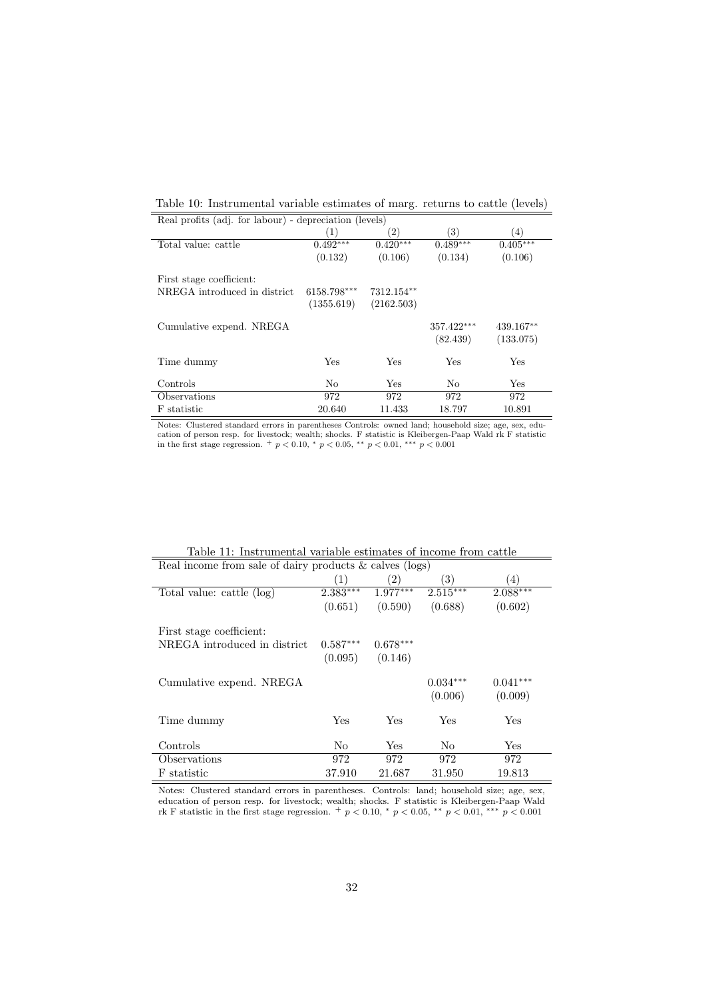Table 10: Instrumental variable estimates of marg. returns to cattle (levels)

| Real profits (adj. for labour) - depreciation (levels) |             |                   |                        |                        |
|--------------------------------------------------------|-------------|-------------------|------------------------|------------------------|
|                                                        | (1)         | $\left( 2\right)$ | 3)                     | $\left(4\right)$       |
| Total value: cattle                                    | $0.492***$  | $0.420***$        | $0.489***$             | $0.405***$             |
|                                                        | (0.132)     | (0.106)           | (0.134)                | (0.106)                |
| First stage coefficient:                               |             |                   |                        |                        |
| NREGA introduced in district.                          | 6158.798*** | 7312.154**        |                        |                        |
|                                                        | (1355.619)  | (2162.503)        |                        |                        |
| Cumulative expend. NREGA                               |             |                   | 357.422***<br>(82.439) | 439.167**<br>(133.075) |
| Time dummy                                             | Yes         | Yes               | Yes                    | Yes                    |
| Controls                                               | No          | Yes               | No                     | Yes                    |
| Observations                                           | 972         | 972               | 972                    | 972                    |
| F statistic                                            | 20.640      | 11.433            | 18.797                 | 10.891                 |

Notes: Clustered standard errors in parentheses Controls: owned land; household size; age, sex, education of person resp. for livestock; wealth; shocks. F statistic is Kleibergen-Paap Wald rk F statistic in the first stage regression. +  $p < 0.10$ , \*  $p < 0.05$ , \*\*  $p < 0.01$ , \*\*\*  $p < 0.001$ 

| Real income from sale of dairy products $&$ calves (logs) |                  |                   |                       |                       |
|-----------------------------------------------------------|------------------|-------------------|-----------------------|-----------------------|
|                                                           | $\left(1\right)$ | $\left( 2\right)$ | 3)                    | (4)                   |
| Total value: cattle (log)                                 | $2.383***$       | $1.977***$        | $2.515***$            | $2.088***$            |
|                                                           | (0.651)          | (0.590)           | (0.688)               | (0.602)               |
| First stage coefficient:                                  |                  |                   |                       |                       |
| NREGA introduced in district.                             | $0.587***$       | $0.678***$        |                       |                       |
|                                                           | (0.095)          | (0.146)           |                       |                       |
| Cumulative expend. NREGA                                  |                  |                   | $0.034***$<br>(0.006) | $0.041***$<br>(0.009) |
| Time dummy                                                | Yes              | Yes               | Yes                   | Yes                   |
| Controls                                                  | No               | Yes               | No                    | Yes                   |
| Observations                                              | 972              | 972               | 972                   | 972                   |
| F statistic                                               | 37.910           | 21.687            | 31.950                | 19.813                |

Table 11: Instrumental variable estimates of income from cattle

Notes: Clustered standard errors in parentheses. Controls: land; household size; age, sex, education of person resp. for livestock; wealth; shocks. F statistic is Kleibergen-Paap Wald rk F statistic in the first stage regression.  $+p < 0.10$ ,  $p < 0.05$ ,  $\rightarrow p < 0.01$ ,  $\rightarrow p < 0.001$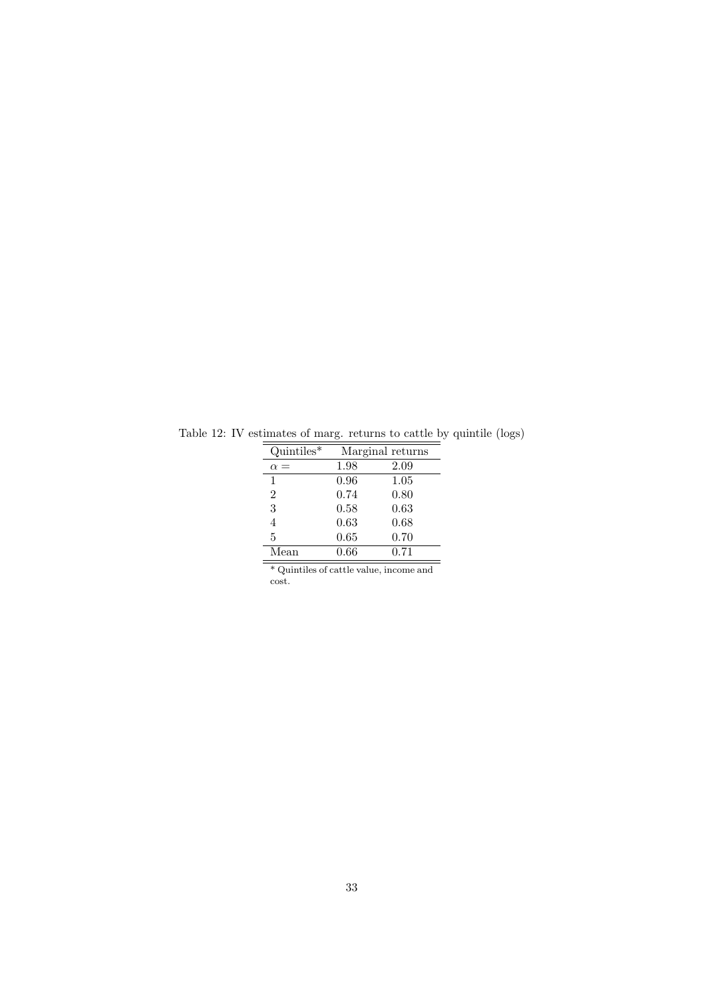| $Quintiles*$   |      | Marginal returns |
|----------------|------|------------------|
| $\alpha =$     | 1.98 | 2.09             |
| 1              | 0.96 | 1.05             |
| $\overline{2}$ | 0.74 | 0.80             |
| 3              | 0.58 | 0.63             |
| 4              | 0.63 | 0.68             |
| 5              | 0.65 | 0.70             |
| Mean           | 0.66 | 0.71             |
| $\sim$<br>.    |      |                  |

Table 12: IV estimates of marg. returns to cattle by quintile (logs)

\* Quintiles of cattle value, income and cost.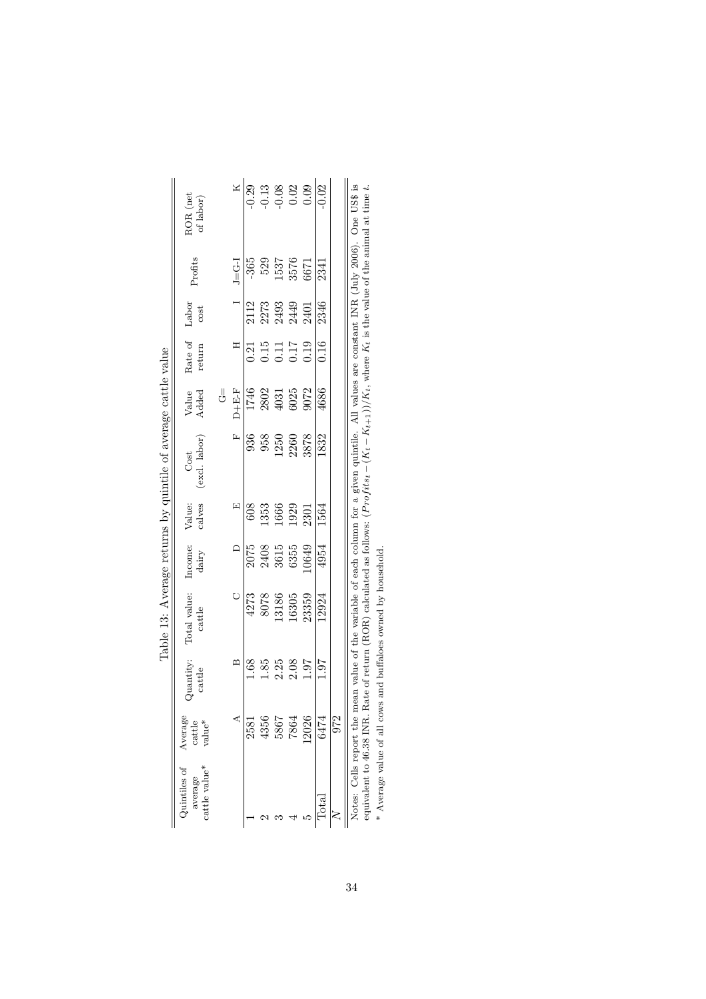|                                                                                                                                                                                                                                | $\begin{array}{c} \text{ROR (net} \\ \text{of labor)} \end{array}$<br>Profits |                | $J = G - I$    | $-365$ | $\frac{529}{15376}$<br>3576<br>6671                                     | $\frac{x}{\sqrt{2}}$<br>$\frac{1}{2}$<br>$\frac{3}{2}$<br>$\frac{3}{2}$<br>$\frac{3}{2}$<br>$\frac{3}{2}$<br>$\frac{3}{2}$<br>$\frac{3}{2}$<br>$\frac{3}{2}$<br>$\frac{3}{2}$<br>$\frac{3}{2}$<br>$\frac{3}{2}$ | 2341               |     | Notes: Cells report the mean value of the variable of each column for a given quintile. All values are constant INR (July 2006). One US\$ is |
|--------------------------------------------------------------------------------------------------------------------------------------------------------------------------------------------------------------------------------|-------------------------------------------------------------------------------|----------------|----------------|--------|-------------------------------------------------------------------------|-----------------------------------------------------------------------------------------------------------------------------------------------------------------------------------------------------------------|--------------------|-----|----------------------------------------------------------------------------------------------------------------------------------------------|
|                                                                                                                                                                                                                                | Labor<br>cost                                                                 |                | $\overline{a}$ |        | 2112<br>2273<br>2493<br>2401                                            |                                                                                                                                                                                                                 | 2346               |     |                                                                                                                                              |
|                                                                                                                                                                                                                                | Rate of<br>return                                                             |                | H              |        | $\begin{array}{c} 21 \\ 21 \\ 0.15 \\ 0.11 \\ 0.19 \\ 0.19 \end{array}$ |                                                                                                                                                                                                                 | $\frac{16}{\cdot}$ |     |                                                                                                                                              |
|                                                                                                                                                                                                                                | Value<br>Added                                                                | $\overline{G}$ | $D + E - F$    |        | $\frac{1746}{17402}$<br>2802<br>4031<br>6025<br>9072                    |                                                                                                                                                                                                                 | 4686               |     |                                                                                                                                              |
| The contract of the communication of the communication of the communication of the communication of the communication of the communication of the communication of the communication of the communication of the communication | (excl. labor)<br>Cost                                                         |                | r,             |        | 936<br>958<br>1250<br>12878<br>3878                                     |                                                                                                                                                                                                                 | 1832               |     |                                                                                                                                              |
|                                                                                                                                                                                                                                | Value:<br>calves                                                              |                | 臼              | 608    | 1353<br>1666<br>1929<br>2301                                            |                                                                                                                                                                                                                 | 1564               |     |                                                                                                                                              |
|                                                                                                                                                                                                                                | Income:<br>dairy                                                              |                | $\bigcap$      |        | 2075<br>2408<br>3615<br>3635<br>300106                                  |                                                                                                                                                                                                                 | 4954               |     |                                                                                                                                              |
|                                                                                                                                                                                                                                | Total value:<br>cattle                                                        |                |                |        | $\frac{4273}{8078}$<br>8078<br>13186<br>16305<br>163359                 |                                                                                                                                                                                                                 | 12924              |     |                                                                                                                                              |
|                                                                                                                                                                                                                                | Quantity:<br>cattle                                                           |                | $\mathbf{z}$   | 89.1   | $\frac{1.85}{2.25}$<br>$\frac{2.36}{1.97}$                              |                                                                                                                                                                                                                 | 1.97               |     |                                                                                                                                              |
|                                                                                                                                                                                                                                | Average<br>cattle<br>$\rm value^{*}$                                          |                |                | 2581   | $4356$<br>$5867$<br>$7864$                                              | 12026                                                                                                                                                                                                           | 6474               | 972 |                                                                                                                                              |
|                                                                                                                                                                                                                                | Quintiles of<br>$\operatorname{cattice}$ value*<br>verage                     |                |                |        |                                                                         |                                                                                                                                                                                                                 | $\frac{a}{c}$      |     |                                                                                                                                              |

| こうき                                                      |  |
|----------------------------------------------------------|--|
|                                                          |  |
| ļ                                                        |  |
|                                                          |  |
| Line and rotation by our other area and one off inc<br>i |  |
|                                                          |  |
| $\frac{1}{2}$                                            |  |
| .<br>.<br>.                                              |  |
|                                                          |  |
| j<br>i<br>l                                              |  |

A section of the set of return (ROR) calculated as follows:  $(Protits_t - (K_t - K_{t+1}))/K_t$ , where  $K_t$  is the value of the animal at time t.<br>
\* Average value of all cows and buffaloes owned by household. equivalent to 46.38 INR. Rate of return (ROR) calculated as follows:  $(Pr \circ f its_t - (K_{t+1}))/K_t$ , where  $K_t$  is the value of the animal at time t. \* Average value of all cows and buffaloes owned by household.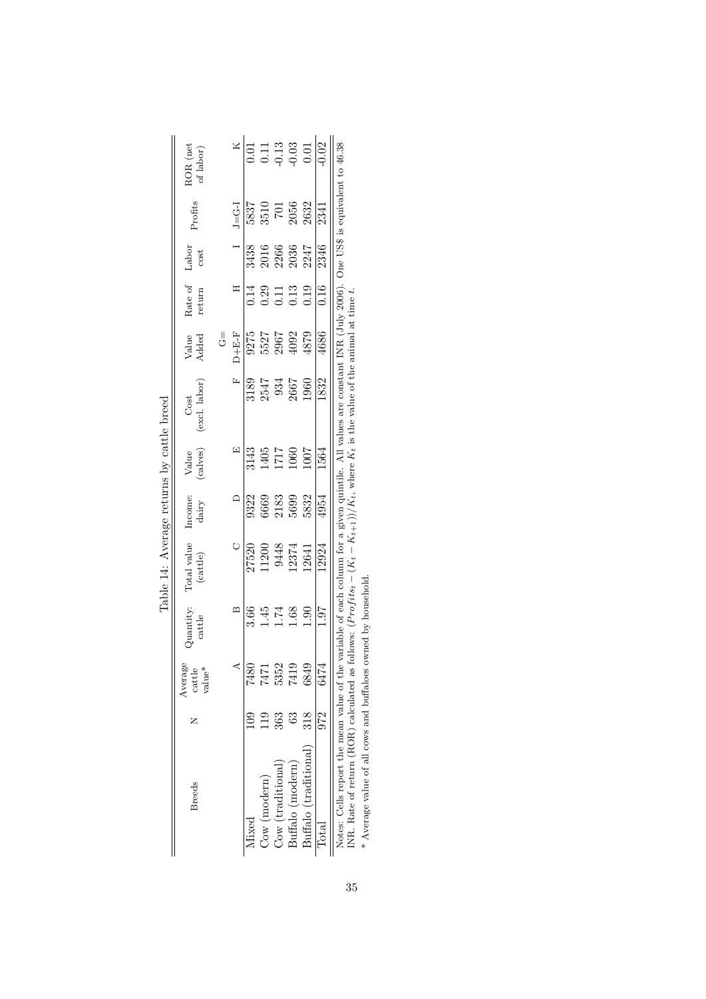|                                                                                                                                                                                                           |     |                             |                     | $\sum_{i=1}^n \sum_{i=1}^n \sum_{j=1}^n \sum_{j=1}^n \sum_{j=1}^n \sum_{j=1}^n \sum_{j=1}^n \sum_{j=1}^n \sum_{j=1}^n \sum_{j=1}^n \sum_{j=1}^n \sum_{j=1}^n \sum_{j=1}^n \sum_{j=1}^n \sum_{j=1}^n \sum_{j=1}^n \sum_{j=1}^n \sum_{j=1}^n \sum_{j=1}^n \sum_{j=1}^n \sum_{j=1}^n \sum_{j=1}^n \sum_{j=1}^n \sum_{j=1}^n \sum_{j$ |                  |                   |                                                                                                       |                              |                                                             |                               |                  |                                                             |
|-----------------------------------------------------------------------------------------------------------------------------------------------------------------------------------------------------------|-----|-----------------------------|---------------------|-----------------------------------------------------------------------------------------------------------------------------------------------------------------------------------------------------------------------------------------------------------------------------------------------------------------------------------|------------------|-------------------|-------------------------------------------------------------------------------------------------------|------------------------------|-------------------------------------------------------------|-------------------------------|------------------|-------------------------------------------------------------|
| <b>Breeds</b>                                                                                                                                                                                             |     | Average<br>cattle<br>value* | Quantity:<br>cattle | Total value<br>(cattice)                                                                                                                                                                                                                                                                                                          | Income:<br>dairy | Value<br>(calves) | (excl. labor)<br>Cost                                                                                 | Value<br>Added               | Rate of Labor<br>return                                     | cost                          | Profits          | $\rm \mathit{ROR}$ (net of labor)                           |
|                                                                                                                                                                                                           |     |                             |                     |                                                                                                                                                                                                                                                                                                                                   |                  |                   |                                                                                                       | J∪                           |                                                             |                               |                  |                                                             |
|                                                                                                                                                                                                           |     |                             | $\mathbf{m}$        |                                                                                                                                                                                                                                                                                                                                   | $\Box$           | 囯                 | Ĺ.                                                                                                    | $D + E - F$                  | H                                                           |                               | $J = G - I$      | $\mathbf{X}$                                                |
| Mixed                                                                                                                                                                                                     |     | 7480                        |                     | 27520                                                                                                                                                                                                                                                                                                                             | 9322             | 3143              |                                                                                                       |                              | 0.14                                                        |                               | 5837             | $\overline{0.01}$                                           |
| $\cos(\text{modern})$                                                                                                                                                                                     |     | 7471                        | $3.66$<br>$1.45$    | 11200                                                                                                                                                                                                                                                                                                                             | 6669             | 1405              | 3189<br>2547<br>2667<br>2667                                                                          | 9275<br>5527<br>5967<br>4092 | $\begin{array}{c} 0.29 \\ 0.11 \\ 0.13 \\ 0.19 \end{array}$ | 3438<br>2016<br>2036<br>20347 | 3510             | $\begin{array}{c} 0.11 \\ 0.13 \\ 0.03 \\ 0.01 \end{array}$ |
| Cow (traditional)                                                                                                                                                                                         | 363 | 5352                        | 1.74                | 9448<br>12374                                                                                                                                                                                                                                                                                                                     | 2183             | 717               |                                                                                                       |                              |                                                             |                               | $\overline{101}$ |                                                             |
| Buffalo (modern)                                                                                                                                                                                          | ි   | 7419                        | 1.68                |                                                                                                                                                                                                                                                                                                                                   | 5699             | 060               |                                                                                                       |                              |                                                             |                               | 2056             |                                                             |
| Buffalo (traditional)                                                                                                                                                                                     | 318 | 6849                        | 0.90                | 12641                                                                                                                                                                                                                                                                                                                             | 5832             | 1007              | 1960                                                                                                  | 4879                         |                                                             |                               | 2632             |                                                             |
| $\rm{Total}$                                                                                                                                                                                              | 972 | 6474                        | <b>16</b> .1        | 12924                                                                                                                                                                                                                                                                                                                             | 4954             | 1564              | 1832                                                                                                  | 4686                         | 0.16                                                        | 2346                          | 2341             | $\overline{0.02}$                                           |
| Notes: Cells report the mean value of the variable of each column for a given quintile. All values are constant INR (July 2006). One US\$ is equivalent to 46.38<br>IND Data af man (DOD) alle service de |     |                             |                     |                                                                                                                                                                                                                                                                                                                                   |                  |                   | 4 میں امریکہ امیں میں میں امیر میں امیر میں امراض اللہ میں امراض اللہ میں امراض اللہ میں امراض اللہ ا |                              |                                                             |                               |                  |                                                             |

| くくらく<br>$\overline{a}$<br>$21 + 12$ |  |
|-------------------------------------|--|
| ١                                   |  |
| printer energ                       |  |
| ļ                                   |  |
|                                     |  |
| į<br>ï                              |  |

INR. Rate of return (ROR) calculated as follows:  $(Projits_t - (K_t - K_{t+1}))/K_t$ , where  $K_t$  is the value of the animal at time t.<br>\* Average value of all cows and buffaloes owned by household. INR. Rate of return (ROR) calculated as follows:  $(Projits_t - (K_t - K_{t+1}))/K_t$ , where  $K_t$  is the value of the animal at time t.

\* Average value of all cows and buffaloes owned by household.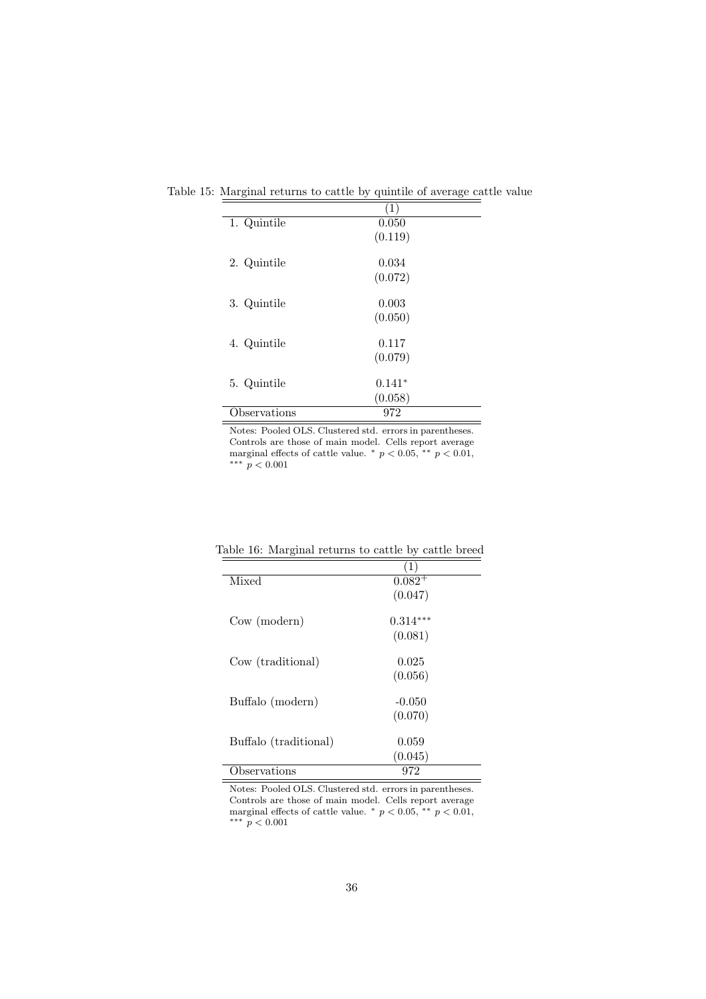| Table 15: Marginal returns to cattle by quintile of average cattle value |  |  |  |  |  |  |
|--------------------------------------------------------------------------|--|--|--|--|--|--|
|--------------------------------------------------------------------------|--|--|--|--|--|--|

|             | (1)      |  |
|-------------|----------|--|
| 1. Quintile | 0.050    |  |
|             | (0.119)  |  |
| 2. Quintile | 0.034    |  |
|             | (0.072)  |  |
| 3. Quintile | 0.003    |  |
|             | (0.050)  |  |
| 4. Quintile | 0.117    |  |
|             | (0.079)  |  |
| 5. Quintile | $0.141*$ |  |
|             | (0.058)  |  |
| bservations | 972      |  |

Notes: Pooled OLS. Clustered std. errors in parentheses. Controls are those of main model. Cells report average marginal effects of cattle value.  $*$   $p < 0.05$ ,  $*$   $p < 0.01$ , ∗∗∗ p < 0.001

|                       | $\left(1\right)$ |
|-----------------------|------------------|
| Mixed                 | $0.082^{+}$      |
|                       | (0.047)          |
| $\text{Cow (modern)}$ | $0.314***$       |
|                       | (0.081)          |
| Cow (traditional)     | 0.025            |
|                       | (0.056)          |
| Buffalo (modern)      | $-0.050$         |
|                       | (0.070)          |
| Buffalo (traditional) | 0.059            |
|                       | (0.045)          |
| Observations          | 972              |

Table 16: Marginal returns to cattle by cattle breed

Notes: Pooled OLS. Clustered std. errors in parentheses. Controls are those of main model. Cells report average marginal effects of cattle value.  $*$   $p < 0.05$ ,  $*$   $p < 0.01$ , ∗∗∗ p < 0.001